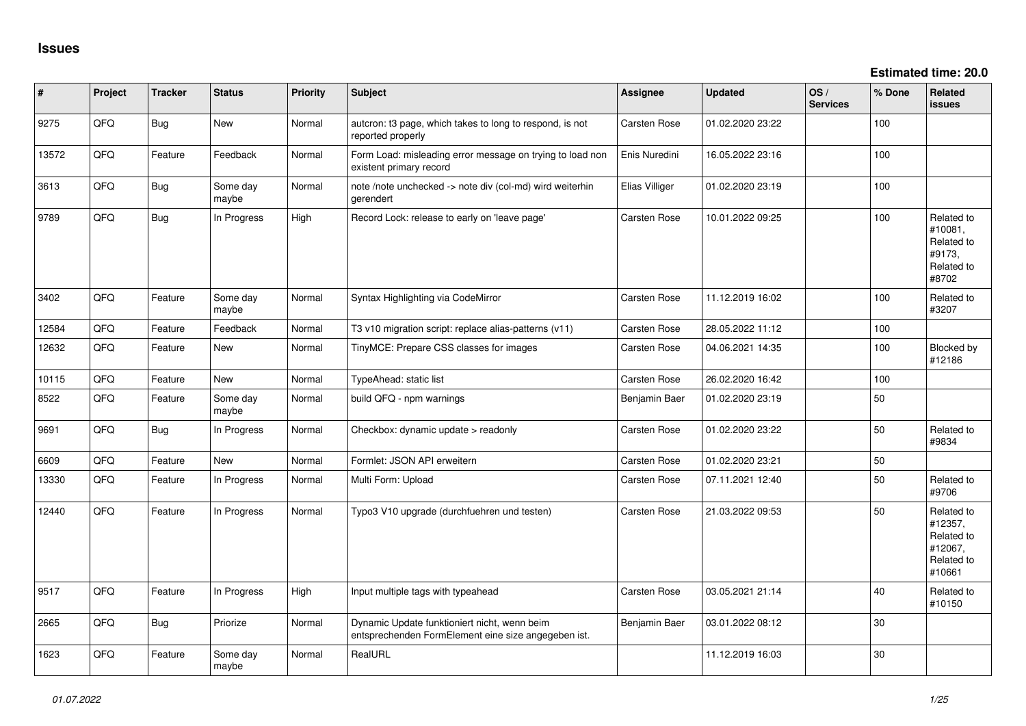| $\vert$ # | Project | <b>Tracker</b> | <b>Status</b>     | <b>Priority</b> | <b>Subject</b>                                                                                      | <b>Assignee</b>     | <b>Updated</b>   | OS/<br><b>Services</b> | % Done | Related<br>issues                                                      |
|-----------|---------|----------------|-------------------|-----------------|-----------------------------------------------------------------------------------------------------|---------------------|------------------|------------------------|--------|------------------------------------------------------------------------|
| 9275      | QFQ     | Bug            | New               | Normal          | autcron: t3 page, which takes to long to respond, is not<br>reported properly                       | Carsten Rose        | 01.02.2020 23:22 |                        | 100    |                                                                        |
| 13572     | QFQ     | Feature        | Feedback          | Normal          | Form Load: misleading error message on trying to load non<br>existent primary record                | Enis Nuredini       | 16.05.2022 23:16 |                        | 100    |                                                                        |
| 3613      | QFQ     | Bug            | Some day<br>maybe | Normal          | note /note unchecked -> note div (col-md) wird weiterhin<br>gerendert                               | Elias Villiger      | 01.02.2020 23:19 |                        | 100    |                                                                        |
| 9789      | QFQ     | Bug            | In Progress       | High            | Record Lock: release to early on 'leave page'                                                       | Carsten Rose        | 10.01.2022 09:25 |                        | 100    | Related to<br>#10081,<br>Related to<br>#9173,<br>Related to<br>#8702   |
| 3402      | QFQ     | Feature        | Some day<br>maybe | Normal          | Syntax Highlighting via CodeMirror                                                                  | Carsten Rose        | 11.12.2019 16:02 |                        | 100    | Related to<br>#3207                                                    |
| 12584     | QFQ     | Feature        | Feedback          | Normal          | T3 v10 migration script: replace alias-patterns (v11)                                               | Carsten Rose        | 28.05.2022 11:12 |                        | 100    |                                                                        |
| 12632     | QFQ     | Feature        | <b>New</b>        | Normal          | TinyMCE: Prepare CSS classes for images                                                             | Carsten Rose        | 04.06.2021 14:35 |                        | 100    | Blocked by<br>#12186                                                   |
| 10115     | QFQ     | Feature        | <b>New</b>        | Normal          | TypeAhead: static list                                                                              | Carsten Rose        | 26.02.2020 16:42 |                        | 100    |                                                                        |
| 8522      | QFQ     | Feature        | Some day<br>maybe | Normal          | build QFQ - npm warnings                                                                            | Benjamin Baer       | 01.02.2020 23:19 |                        | 50     |                                                                        |
| 9691      | QFQ     | Bug            | In Progress       | Normal          | Checkbox: dynamic update > readonly                                                                 | Carsten Rose        | 01.02.2020 23:22 |                        | 50     | Related to<br>#9834                                                    |
| 6609      | QFQ     | Feature        | <b>New</b>        | Normal          | Formlet: JSON API erweitern                                                                         | Carsten Rose        | 01.02.2020 23:21 |                        | 50     |                                                                        |
| 13330     | QFQ     | Feature        | In Progress       | Normal          | Multi Form: Upload                                                                                  | Carsten Rose        | 07.11.2021 12:40 |                        | 50     | Related to<br>#9706                                                    |
| 12440     | QFQ     | Feature        | In Progress       | Normal          | Typo3 V10 upgrade (durchfuehren und testen)                                                         | Carsten Rose        | 21.03.2022 09:53 |                        | 50     | Related to<br>#12357,<br>Related to<br>#12067,<br>Related to<br>#10661 |
| 9517      | QFQ     | Feature        | In Progress       | High            | Input multiple tags with typeahead                                                                  | <b>Carsten Rose</b> | 03.05.2021 21:14 |                        | 40     | Related to<br>#10150                                                   |
| 2665      | QFQ     | Bug            | Priorize          | Normal          | Dynamic Update funktioniert nicht, wenn beim<br>entsprechenden FormElement eine size angegeben ist. | Benjamin Baer       | 03.01.2022 08:12 |                        | 30     |                                                                        |
| 1623      | QFQ     | Feature        | Some day<br>maybe | Normal          | RealURL                                                                                             |                     | 11.12.2019 16:03 |                        | 30     |                                                                        |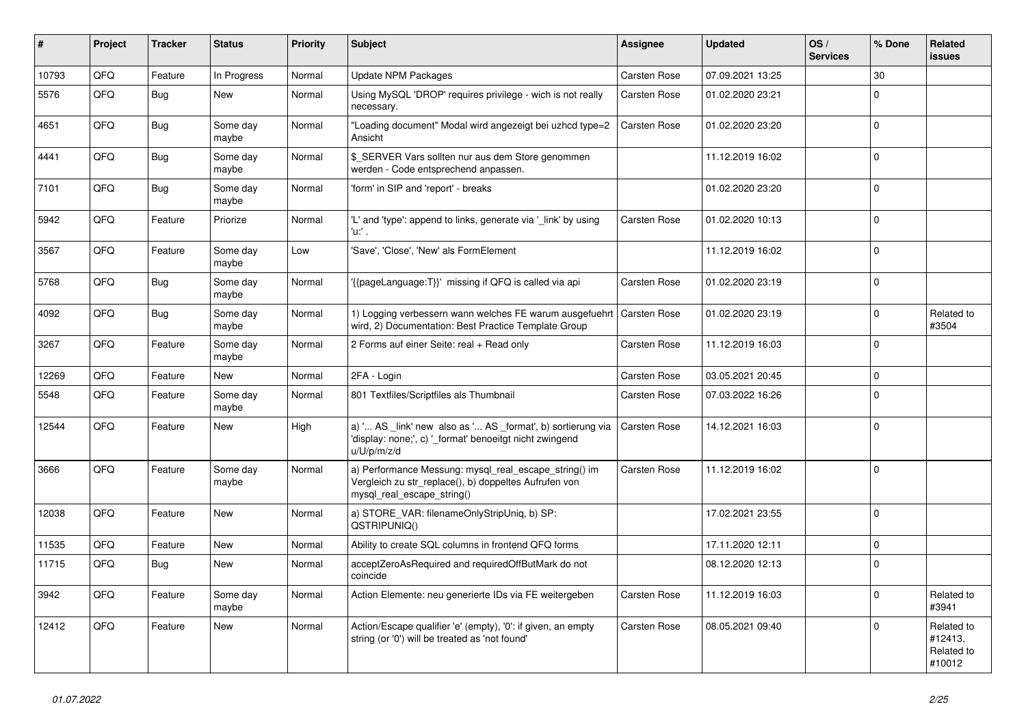| ∦     | Project | <b>Tracker</b> | <b>Status</b>     | <b>Priority</b> | <b>Subject</b>                                                                                                                               | Assignee     | <b>Updated</b>   | OS/<br><b>Services</b> | % Done         | Related<br><b>issues</b>                      |
|-------|---------|----------------|-------------------|-----------------|----------------------------------------------------------------------------------------------------------------------------------------------|--------------|------------------|------------------------|----------------|-----------------------------------------------|
| 10793 | QFQ     | Feature        | In Progress       | Normal          | <b>Update NPM Packages</b>                                                                                                                   | Carsten Rose | 07.09.2021 13:25 |                        | 30             |                                               |
| 5576  | QFQ     | Bug            | New               | Normal          | Using MySQL 'DROP' requires privilege - wich is not really<br>necessary.                                                                     | Carsten Rose | 01.02.2020 23:21 |                        | $\Omega$       |                                               |
| 4651  | QFQ     | <b>Bug</b>     | Some day<br>maybe | Normal          | "Loading document" Modal wird angezeigt bei uzhcd type=2<br>Ansicht                                                                          | Carsten Rose | 01.02.2020 23:20 |                        | $\Omega$       |                                               |
| 4441  | QFQ     | <b>Bug</b>     | Some day<br>maybe | Normal          | \$ SERVER Vars sollten nur aus dem Store genommen<br>werden - Code entsprechend anpassen.                                                    |              | 11.12.2019 16:02 |                        | $\Omega$       |                                               |
| 7101  | QFQ     | <b>Bug</b>     | Some day<br>maybe | Normal          | 'form' in SIP and 'report' - breaks                                                                                                          |              | 01.02.2020 23:20 |                        | $\Omega$       |                                               |
| 5942  | QFQ     | Feature        | Priorize          | Normal          | 'L' and 'type': append to links, generate via '_link' by using<br>'u:' .                                                                     | Carsten Rose | 01.02.2020 10:13 |                        | $\Omega$       |                                               |
| 3567  | QFQ     | Feature        | Some day<br>maybe | Low             | 'Save', 'Close', 'New' als FormElement                                                                                                       |              | 11.12.2019 16:02 |                        | $\Omega$       |                                               |
| 5768  | QFQ     | Bug            | Some day<br>maybe | Normal          | '{{pageLanguage:T}}' missing if QFQ is called via api                                                                                        | Carsten Rose | 01.02.2020 23:19 |                        | $\Omega$       |                                               |
| 4092  | QFQ     | <b>Bug</b>     | Some day<br>maybe | Normal          | 1) Logging verbessern wann welches FE warum ausgefuehrt   Carsten Rose<br>wird, 2) Documentation: Best Practice Template Group               |              | 01.02.2020 23:19 |                        | $\Omega$       | Related to<br>#3504                           |
| 3267  | QFQ     | Feature        | Some day<br>maybe | Normal          | 2 Forms auf einer Seite: real + Read only                                                                                                    | Carsten Rose | 11.12.2019 16:03 |                        | $\overline{0}$ |                                               |
| 12269 | QFQ     | Feature        | <b>New</b>        | Normal          | 2FA - Login                                                                                                                                  | Carsten Rose | 03.05.2021 20:45 |                        | $\Omega$       |                                               |
| 5548  | QFQ     | Feature        | Some day<br>maybe | Normal          | 801 Textfiles/Scriptfiles als Thumbnail                                                                                                      | Carsten Rose | 07.03.2022 16:26 |                        | $\Omega$       |                                               |
| 12544 | QFQ     | Feature        | New               | High            | a) ' AS _link' new also as ' AS _format', b) sortierung via<br>'display: none;', c) '_format' benoeitgt nicht zwingend<br>u/U/p/m/z/d        | Carsten Rose | 14.12.2021 16:03 |                        | $\mathbf 0$    |                                               |
| 3666  | QFQ     | Feature        | Some day<br>maybe | Normal          | a) Performance Messung: mysql_real_escape_string() im<br>Vergleich zu str_replace(), b) doppeltes Aufrufen von<br>mysql_real_escape_string() | Carsten Rose | 11.12.2019 16:02 |                        | $\Omega$       |                                               |
| 12038 | QFQ     | Feature        | New               | Normal          | a) STORE_VAR: filenameOnlyStripUniq, b) SP:<br>QSTRIPUNIQ()                                                                                  |              | 17.02.2021 23:55 |                        | $\Omega$       |                                               |
| 11535 | QFQ     | Feature        | <b>New</b>        | Normal          | Ability to create SQL columns in frontend QFQ forms                                                                                          |              | 17.11.2020 12:11 |                        | 0              |                                               |
| 11715 | QFQ     | <b>Bug</b>     | New               | Normal          | acceptZeroAsRequired and requiredOffButMark do not<br>coincide                                                                               |              | 08.12.2020 12:13 |                        | l n            |                                               |
| 3942  | QFQ     | Feature        | Some day<br>maybe | Normal          | Action Elemente: neu generierte IDs via FE weitergeben                                                                                       | Carsten Rose | 11.12.2019 16:03 |                        | $\mathbf{0}$   | Related to<br>#3941                           |
| 12412 | QFQ     | Feature        | <b>New</b>        | Normal          | Action/Escape qualifier 'e' (empty), '0': if given, an empty<br>string (or '0') will be treated as 'not found'                               | Carsten Rose | 08.05.2021 09:40 |                        | $\Omega$       | Related to<br>#12413,<br>Related to<br>#10012 |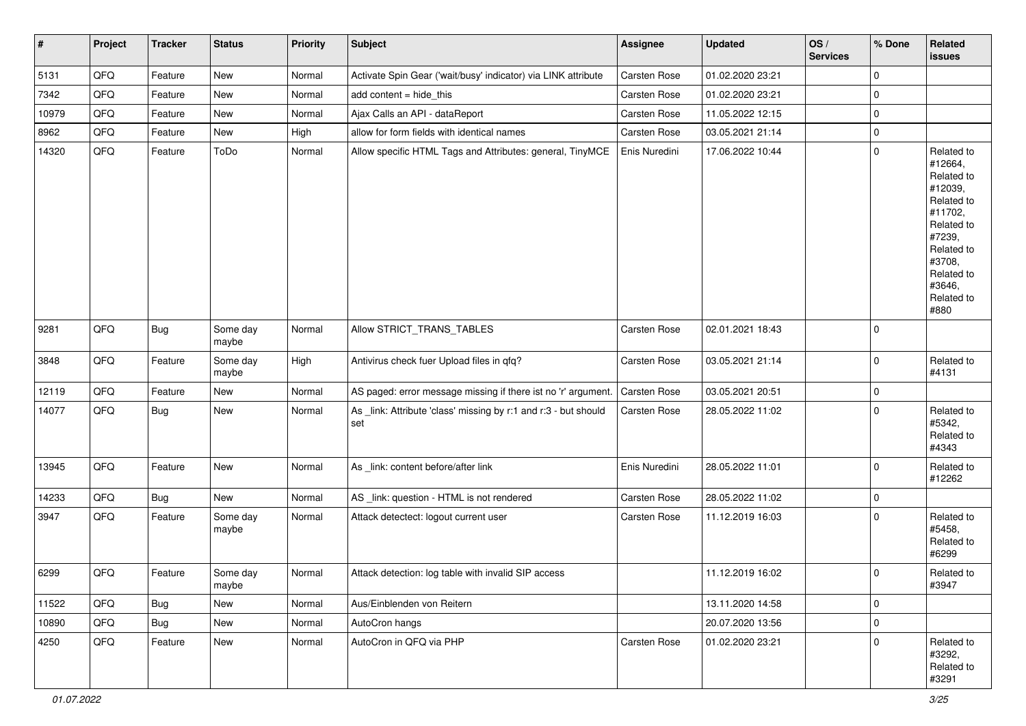| #     | Project | <b>Tracker</b> | <b>Status</b>     | <b>Priority</b> | <b>Subject</b>                                                         | <b>Assignee</b>     | <b>Updated</b>   | OS/<br><b>Services</b> | % Done      | Related<br><b>issues</b>                                                                                                                                              |
|-------|---------|----------------|-------------------|-----------------|------------------------------------------------------------------------|---------------------|------------------|------------------------|-------------|-----------------------------------------------------------------------------------------------------------------------------------------------------------------------|
| 5131  | QFQ     | Feature        | <b>New</b>        | Normal          | Activate Spin Gear ('wait/busy' indicator) via LINK attribute          | Carsten Rose        | 01.02.2020 23:21 |                        | 0           |                                                                                                                                                                       |
| 7342  | QFQ     | Feature        | New               | Normal          | add content = hide_this                                                | Carsten Rose        | 01.02.2020 23:21 |                        | 0           |                                                                                                                                                                       |
| 10979 | QFQ     | Feature        | New               | Normal          | Ajax Calls an API - dataReport                                         | Carsten Rose        | 11.05.2022 12:15 |                        | 0           |                                                                                                                                                                       |
| 8962  | QFQ     | Feature        | New               | High            | allow for form fields with identical names                             | Carsten Rose        | 03.05.2021 21:14 |                        | 0           |                                                                                                                                                                       |
| 14320 | QFQ     | Feature        | ToDo              | Normal          | Allow specific HTML Tags and Attributes: general, TinyMCE              | Enis Nuredini       | 17.06.2022 10:44 |                        | 0           | Related to<br>#12664,<br>Related to<br>#12039,<br>Related to<br>#11702,<br>Related to<br>#7239,<br>Related to<br>#3708,<br>Related to<br>#3646,<br>Related to<br>#880 |
| 9281  | QFQ     | <b>Bug</b>     | Some day<br>maybe | Normal          | Allow STRICT_TRANS_TABLES                                              | Carsten Rose        | 02.01.2021 18:43 |                        | 0           |                                                                                                                                                                       |
| 3848  | QFQ     | Feature        | Some day<br>maybe | High            | Antivirus check fuer Upload files in qfq?                              | Carsten Rose        | 03.05.2021 21:14 |                        | 0           | Related to<br>#4131                                                                                                                                                   |
| 12119 | QFQ     | Feature        | New               | Normal          | AS paged: error message missing if there ist no 'r' argument.          | Carsten Rose        | 03.05.2021 20:51 |                        | 0           |                                                                                                                                                                       |
| 14077 | QFQ     | <b>Bug</b>     | New               | Normal          | As _link: Attribute 'class' missing by r:1 and r:3 - but should<br>set | Carsten Rose        | 28.05.2022 11:02 |                        | 0           | Related to<br>#5342,<br>Related to<br>#4343                                                                                                                           |
| 13945 | QFQ     | Feature        | New               | Normal          | As _link: content before/after link                                    | Enis Nuredini       | 28.05.2022 11:01 |                        | 0           | Related to<br>#12262                                                                                                                                                  |
| 14233 | QFQ     | <b>Bug</b>     | New               | Normal          | AS _link: question - HTML is not rendered                              | Carsten Rose        | 28.05.2022 11:02 |                        | 0           |                                                                                                                                                                       |
| 3947  | QFQ     | Feature        | Some day<br>maybe | Normal          | Attack detectect: logout current user                                  | Carsten Rose        | 11.12.2019 16:03 |                        | 0           | Related to<br>#5458,<br>Related to<br>#6299                                                                                                                           |
| 6299  | QFQ     | Feature        | Some day<br>maybe | Normal          | Attack detection: log table with invalid SIP access                    |                     | 11.12.2019 16:02 |                        | $\mathbf 0$ | Related to<br>#3947                                                                                                                                                   |
| 11522 | QFQ     | <b>Bug</b>     | New               | Normal          | Aus/Einblenden von Reitern                                             |                     | 13.11.2020 14:58 |                        | 0           |                                                                                                                                                                       |
| 10890 | QFQ     | <b>Bug</b>     | New               | Normal          | AutoCron hangs                                                         |                     | 20.07.2020 13:56 |                        | 0           |                                                                                                                                                                       |
| 4250  | QFQ     | Feature        | New               | Normal          | AutoCron in QFQ via PHP                                                | <b>Carsten Rose</b> | 01.02.2020 23:21 |                        | 0           | Related to<br>#3292,<br>Related to<br>#3291                                                                                                                           |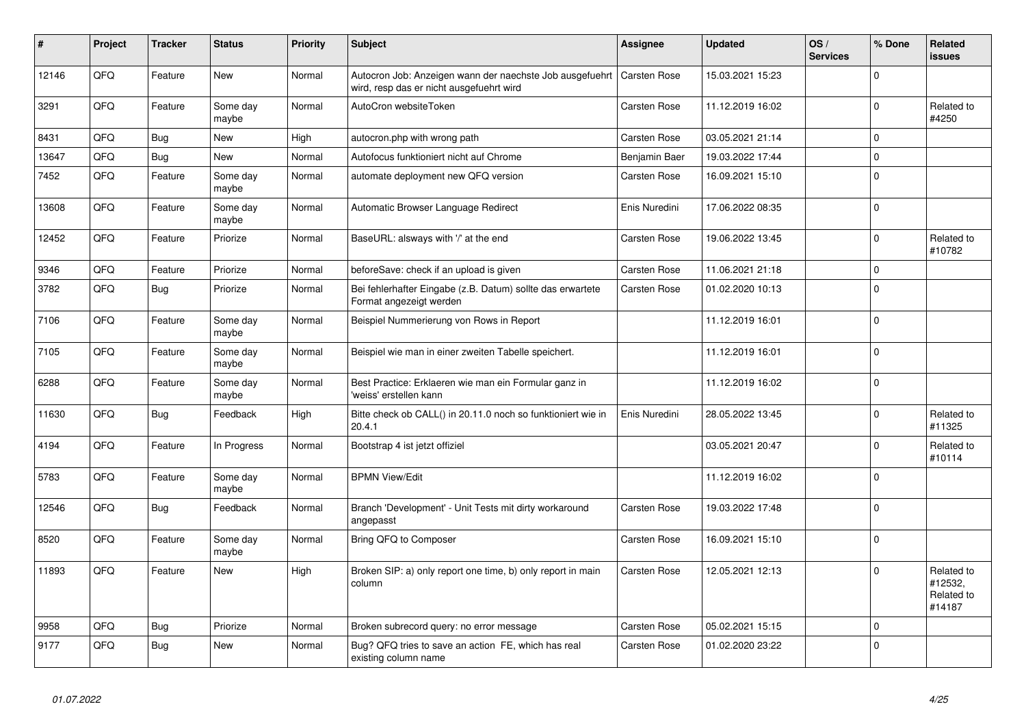| #     | Project | <b>Tracker</b> | <b>Status</b>     | <b>Priority</b> | <b>Subject</b>                                                                                       | <b>Assignee</b>     | <b>Updated</b>   | OS/<br><b>Services</b> | % Done      | Related<br><b>issues</b>                      |
|-------|---------|----------------|-------------------|-----------------|------------------------------------------------------------------------------------------------------|---------------------|------------------|------------------------|-------------|-----------------------------------------------|
| 12146 | QFQ     | Feature        | New               | Normal          | Autocron Job: Anzeigen wann der naechste Job ausgefuehrt<br>wird, resp das er nicht ausgefuehrt wird | Carsten Rose        | 15.03.2021 15:23 |                        | $\mathbf 0$ |                                               |
| 3291  | QFQ     | Feature        | Some day<br>maybe | Normal          | AutoCron websiteToken                                                                                | Carsten Rose        | 11.12.2019 16:02 |                        | $\Omega$    | Related to<br>#4250                           |
| 8431  | QFQ     | Bug            | New               | High            | autocron.php with wrong path                                                                         | Carsten Rose        | 03.05.2021 21:14 |                        | $\mathbf 0$ |                                               |
| 13647 | QFQ     | Bug            | New               | Normal          | Autofocus funktioniert nicht auf Chrome                                                              | Benjamin Baer       | 19.03.2022 17:44 |                        | $\Omega$    |                                               |
| 7452  | QFQ     | Feature        | Some day<br>maybe | Normal          | automate deployment new QFQ version                                                                  | Carsten Rose        | 16.09.2021 15:10 |                        | $\mathbf 0$ |                                               |
| 13608 | QFQ     | Feature        | Some day<br>maybe | Normal          | Automatic Browser Language Redirect                                                                  | Enis Nuredini       | 17.06.2022 08:35 |                        | $\mathbf 0$ |                                               |
| 12452 | QFQ     | Feature        | Priorize          | Normal          | BaseURL: alsways with '/' at the end                                                                 | Carsten Rose        | 19.06.2022 13:45 |                        | $\Omega$    | Related to<br>#10782                          |
| 9346  | QFQ     | Feature        | Priorize          | Normal          | beforeSave: check if an upload is given                                                              | Carsten Rose        | 11.06.2021 21:18 |                        | $\mathbf 0$ |                                               |
| 3782  | QFQ     | Bug            | Priorize          | Normal          | Bei fehlerhafter Eingabe (z.B. Datum) sollte das erwartete<br>Format angezeigt werden                | Carsten Rose        | 01.02.2020 10:13 |                        | $\mathbf 0$ |                                               |
| 7106  | QFQ     | Feature        | Some day<br>maybe | Normal          | Beispiel Nummerierung von Rows in Report                                                             |                     | 11.12.2019 16:01 |                        | $\mathbf 0$ |                                               |
| 7105  | QFQ     | Feature        | Some day<br>maybe | Normal          | Beispiel wie man in einer zweiten Tabelle speichert.                                                 |                     | 11.12.2019 16:01 |                        | $\mathbf 0$ |                                               |
| 6288  | QFQ     | Feature        | Some day<br>maybe | Normal          | Best Practice: Erklaeren wie man ein Formular ganz in<br>'weiss' erstellen kann                      |                     | 11.12.2019 16:02 |                        | $\Omega$    |                                               |
| 11630 | QFQ     | Bug            | Feedback          | High            | Bitte check ob CALL() in 20.11.0 noch so funktioniert wie in<br>20.4.1                               | Enis Nuredini       | 28.05.2022 13:45 |                        | $\mathbf 0$ | Related to<br>#11325                          |
| 4194  | QFQ     | Feature        | In Progress       | Normal          | Bootstrap 4 ist jetzt offiziel                                                                       |                     | 03.05.2021 20:47 |                        | $\mathbf 0$ | Related to<br>#10114                          |
| 5783  | QFQ     | Feature        | Some day<br>maybe | Normal          | <b>BPMN View/Edit</b>                                                                                |                     | 11.12.2019 16:02 |                        | $\Omega$    |                                               |
| 12546 | QFQ     | Bug            | Feedback          | Normal          | Branch 'Development' - Unit Tests mit dirty workaround<br>angepasst                                  | Carsten Rose        | 19.03.2022 17:48 |                        | $\mathbf 0$ |                                               |
| 8520  | QFQ     | Feature        | Some day<br>maybe | Normal          | Bring QFQ to Composer                                                                                | Carsten Rose        | 16.09.2021 15:10 |                        | $\mathbf 0$ |                                               |
| 11893 | QFQ     | Feature        | New               | High            | Broken SIP: a) only report one time, b) only report in main<br>column                                | Carsten Rose        | 12.05.2021 12:13 |                        | $\mathbf 0$ | Related to<br>#12532,<br>Related to<br>#14187 |
| 9958  | QFQ     | Bug            | Priorize          | Normal          | Broken subrecord query: no error message                                                             | <b>Carsten Rose</b> | 05.02.2021 15:15 |                        | $\mathbf 0$ |                                               |
| 9177  | QFQ     | Bug            | <b>New</b>        | Normal          | Bug? QFQ tries to save an action FE, which has real<br>existing column name                          | Carsten Rose        | 01.02.2020 23:22 |                        | $\Omega$    |                                               |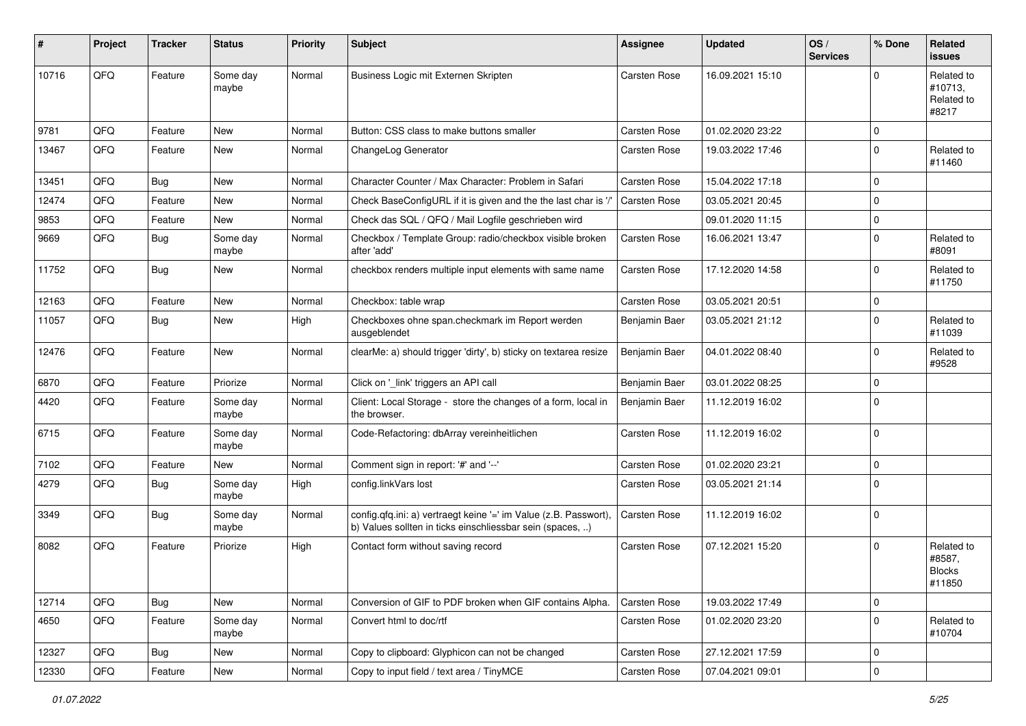| #     | Project | <b>Tracker</b> | <b>Status</b>     | <b>Priority</b> | <b>Subject</b>                                                                                                                | <b>Assignee</b>     | <b>Updated</b>   | OS/<br><b>Services</b> | % Done      | Related<br><b>issues</b>                        |
|-------|---------|----------------|-------------------|-----------------|-------------------------------------------------------------------------------------------------------------------------------|---------------------|------------------|------------------------|-------------|-------------------------------------------------|
| 10716 | QFQ     | Feature        | Some day<br>maybe | Normal          | Business Logic mit Externen Skripten                                                                                          | <b>Carsten Rose</b> | 16.09.2021 15:10 |                        | $\Omega$    | Related to<br>#10713.<br>Related to<br>#8217    |
| 9781  | QFQ     | Feature        | New               | Normal          | Button: CSS class to make buttons smaller                                                                                     | Carsten Rose        | 01.02.2020 23:22 |                        | $\mathbf 0$ |                                                 |
| 13467 | QFQ     | Feature        | New               | Normal          | ChangeLog Generator                                                                                                           | Carsten Rose        | 19.03.2022 17:46 |                        | $\Omega$    | Related to<br>#11460                            |
| 13451 | QFQ     | Bug            | New               | Normal          | Character Counter / Max Character: Problem in Safari                                                                          | Carsten Rose        | 15.04.2022 17:18 |                        | $\Omega$    |                                                 |
| 12474 | QFQ     | Feature        | New               | Normal          | Check BaseConfigURL if it is given and the the last char is '/'                                                               | Carsten Rose        | 03.05.2021 20:45 |                        | $\mathbf 0$ |                                                 |
| 9853  | QFQ     | Feature        | New               | Normal          | Check das SQL / QFQ / Mail Logfile geschrieben wird                                                                           |                     | 09.01.2020 11:15 |                        | $\mathbf 0$ |                                                 |
| 9669  | QFQ     | Bug            | Some day<br>maybe | Normal          | Checkbox / Template Group: radio/checkbox visible broken<br>after 'add'                                                       | Carsten Rose        | 16.06.2021 13:47 |                        | $\mathbf 0$ | Related to<br>#8091                             |
| 11752 | QFQ     | Bug            | New               | Normal          | checkbox renders multiple input elements with same name                                                                       | Carsten Rose        | 17.12.2020 14:58 |                        | $\Omega$    | Related to<br>#11750                            |
| 12163 | QFQ     | Feature        | <b>New</b>        | Normal          | Checkbox: table wrap                                                                                                          | Carsten Rose        | 03.05.2021 20:51 |                        | $\mathbf 0$ |                                                 |
| 11057 | QFQ     | Bug            | New               | High            | Checkboxes ohne span.checkmark im Report werden<br>ausgeblendet                                                               | Benjamin Baer       | 03.05.2021 21:12 |                        | $\Omega$    | Related to<br>#11039                            |
| 12476 | QFQ     | Feature        | New               | Normal          | clearMe: a) should trigger 'dirty', b) sticky on textarea resize                                                              | Benjamin Baer       | 04.01.2022 08:40 |                        | $\mathbf 0$ | Related to<br>#9528                             |
| 6870  | QFQ     | Feature        | Priorize          | Normal          | Click on '_link' triggers an API call                                                                                         | Benjamin Baer       | 03.01.2022 08:25 |                        | $\mathbf 0$ |                                                 |
| 4420  | QFQ     | Feature        | Some day<br>maybe | Normal          | Client: Local Storage - store the changes of a form, local in<br>the browser.                                                 | Benjamin Baer       | 11.12.2019 16:02 |                        | $\Omega$    |                                                 |
| 6715  | QFQ     | Feature        | Some day<br>maybe | Normal          | Code-Refactoring: dbArray vereinheitlichen                                                                                    | Carsten Rose        | 11.12.2019 16:02 |                        | $\Omega$    |                                                 |
| 7102  | QFQ     | Feature        | New               | Normal          | Comment sign in report: '#' and '--'                                                                                          | Carsten Rose        | 01.02.2020 23:21 |                        | $\mathbf 0$ |                                                 |
| 4279  | QFQ     | Bug            | Some day<br>maybe | High            | config.linkVars lost                                                                                                          | Carsten Rose        | 03.05.2021 21:14 |                        | $\mathbf 0$ |                                                 |
| 3349  | QFQ     | Bug            | Some day<br>maybe | Normal          | config.qfq.ini: a) vertraegt keine '=' im Value (z.B. Passwort),<br>b) Values sollten in ticks einschliessbar sein (spaces, ) | Carsten Rose        | 11.12.2019 16:02 |                        | $\mathbf 0$ |                                                 |
| 8082  | QFQ     | Feature        | Priorize          | High            | Contact form without saving record                                                                                            | Carsten Rose        | 07.12.2021 15:20 |                        | $\Omega$    | Related to<br>#8587,<br><b>Blocks</b><br>#11850 |
| 12714 | QFQ     | <b>Bug</b>     | New               | Normal          | Conversion of GIF to PDF broken when GIF contains Alpha.                                                                      | Carsten Rose        | 19.03.2022 17:49 |                        | $\mathbf 0$ |                                                 |
| 4650  | QFQ     | Feature        | Some day<br>maybe | Normal          | Convert html to doc/rtf                                                                                                       | Carsten Rose        | 01.02.2020 23:20 |                        | $\mathbf 0$ | Related to<br>#10704                            |
| 12327 | QFQ     | Bug            | New               | Normal          | Copy to clipboard: Glyphicon can not be changed                                                                               | Carsten Rose        | 27.12.2021 17:59 |                        | $\mathbf 0$ |                                                 |
| 12330 | QFQ     | Feature        | New               | Normal          | Copy to input field / text area / TinyMCE                                                                                     | Carsten Rose        | 07.04.2021 09:01 |                        | $\mathbf 0$ |                                                 |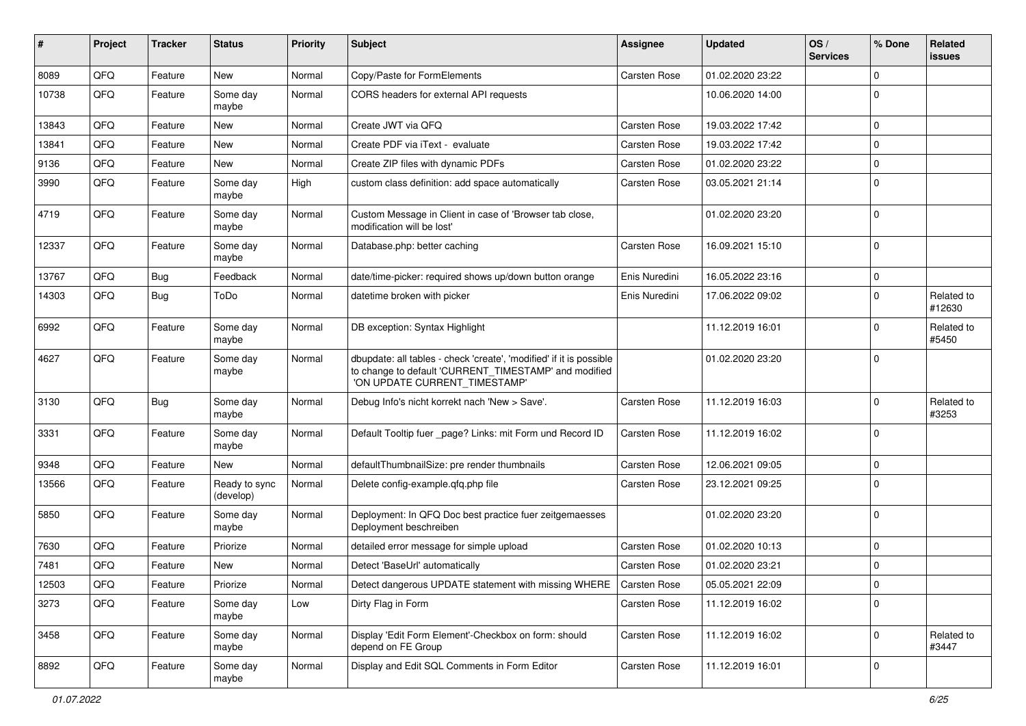| #     | Project | <b>Tracker</b> | <b>Status</b>              | <b>Priority</b> | Subject                                                                                                                                                       | <b>Assignee</b> | <b>Updated</b>   | OS/<br><b>Services</b> | % Done       | Related<br><b>issues</b> |
|-------|---------|----------------|----------------------------|-----------------|---------------------------------------------------------------------------------------------------------------------------------------------------------------|-----------------|------------------|------------------------|--------------|--------------------------|
| 8089  | QFQ     | Feature        | New                        | Normal          | Copy/Paste for FormElements                                                                                                                                   | Carsten Rose    | 01.02.2020 23:22 |                        | $\Omega$     |                          |
| 10738 | QFQ     | Feature        | Some day<br>maybe          | Normal          | CORS headers for external API requests                                                                                                                        |                 | 10.06.2020 14:00 |                        | 0            |                          |
| 13843 | QFQ     | Feature        | New                        | Normal          | Create JWT via QFQ                                                                                                                                            | Carsten Rose    | 19.03.2022 17:42 |                        | 0            |                          |
| 13841 | QFQ     | Feature        | <b>New</b>                 | Normal          | Create PDF via iText - evaluate                                                                                                                               | Carsten Rose    | 19.03.2022 17:42 |                        | 0            |                          |
| 9136  | QFQ     | Feature        | <b>New</b>                 | Normal          | Create ZIP files with dynamic PDFs                                                                                                                            | Carsten Rose    | 01.02.2020 23:22 |                        | 0            |                          |
| 3990  | QFQ     | Feature        | Some day<br>maybe          | High            | custom class definition: add space automatically                                                                                                              | Carsten Rose    | 03.05.2021 21:14 |                        | $\mathbf 0$  |                          |
| 4719  | QFQ     | Feature        | Some day<br>maybe          | Normal          | Custom Message in Client in case of 'Browser tab close,<br>modification will be lost'                                                                         |                 | 01.02.2020 23:20 |                        | $\Omega$     |                          |
| 12337 | QFQ     | Feature        | Some day<br>maybe          | Normal          | Database.php: better caching                                                                                                                                  | Carsten Rose    | 16.09.2021 15:10 |                        | $\Omega$     |                          |
| 13767 | QFQ     | <b>Bug</b>     | Feedback                   | Normal          | date/time-picker: required shows up/down button orange                                                                                                        | Enis Nuredini   | 16.05.2022 23:16 |                        | $\Omega$     |                          |
| 14303 | QFQ     | Bug            | ToDo                       | Normal          | datetime broken with picker                                                                                                                                   | Enis Nuredini   | 17.06.2022 09:02 |                        | $\Omega$     | Related to<br>#12630     |
| 6992  | QFQ     | Feature        | Some day<br>maybe          | Normal          | DB exception: Syntax Highlight                                                                                                                                |                 | 11.12.2019 16:01 |                        | <sup>0</sup> | Related to<br>#5450      |
| 4627  | QFQ     | Feature        | Some day<br>maybe          | Normal          | dbupdate: all tables - check 'create', 'modified' if it is possible<br>to change to default 'CURRENT_TIMESTAMP' and modified<br>'ON UPDATE CURRENT_TIMESTAMP' |                 | 01.02.2020 23:20 |                        | $\Omega$     |                          |
| 3130  | QFQ     | <b>Bug</b>     | Some day<br>maybe          | Normal          | Debug Info's nicht korrekt nach 'New > Save'.                                                                                                                 | Carsten Rose    | 11.12.2019 16:03 |                        | $\Omega$     | Related to<br>#3253      |
| 3331  | QFQ     | Feature        | Some day<br>maybe          | Normal          | Default Tooltip fuer _page? Links: mit Form und Record ID                                                                                                     | Carsten Rose    | 11.12.2019 16:02 |                        | $\Omega$     |                          |
| 9348  | QFQ     | Feature        | <b>New</b>                 | Normal          | defaultThumbnailSize: pre render thumbnails                                                                                                                   | Carsten Rose    | 12.06.2021 09:05 |                        | $\mathbf 0$  |                          |
| 13566 | QFQ     | Feature        | Ready to sync<br>(develop) | Normal          | Delete config-example.qfq.php file                                                                                                                            | Carsten Rose    | 23.12.2021 09:25 |                        | $\Omega$     |                          |
| 5850  | QFQ     | Feature        | Some day<br>maybe          | Normal          | Deployment: In QFQ Doc best practice fuer zeitgemaesses<br>Deployment beschreiben                                                                             |                 | 01.02.2020 23:20 |                        | $\mathbf 0$  |                          |
| 7630  | QFQ     | Feature        | Priorize                   | Normal          | detailed error message for simple upload                                                                                                                      | Carsten Rose    | 01.02.2020 10:13 |                        | 0            |                          |
| 7481  | QFQ     | Feature        | New                        | Normal          | Detect 'BaseUrl' automatically                                                                                                                                | Carsten Rose    | 01.02.2020 23:21 |                        | $\Omega$     |                          |
| 12503 | QFQ     | Feature        | Priorize                   | Normal          | Detect dangerous UPDATE statement with missing WHERE                                                                                                          | Carsten Rose    | 05.05.2021 22:09 |                        | 0            |                          |
| 3273  | QFQ     | Feature        | Some day<br>maybe          | Low             | Dirty Flag in Form                                                                                                                                            | Carsten Rose    | 11.12.2019 16:02 |                        | $\mathbf 0$  |                          |
| 3458  | QFQ     | Feature        | Some day<br>maybe          | Normal          | Display 'Edit Form Element'-Checkbox on form: should<br>depend on FE Group                                                                                    | Carsten Rose    | 11.12.2019 16:02 |                        | 0            | Related to<br>#3447      |
| 8892  | QFQ     | Feature        | Some day<br>maybe          | Normal          | Display and Edit SQL Comments in Form Editor                                                                                                                  | Carsten Rose    | 11.12.2019 16:01 |                        | 0            |                          |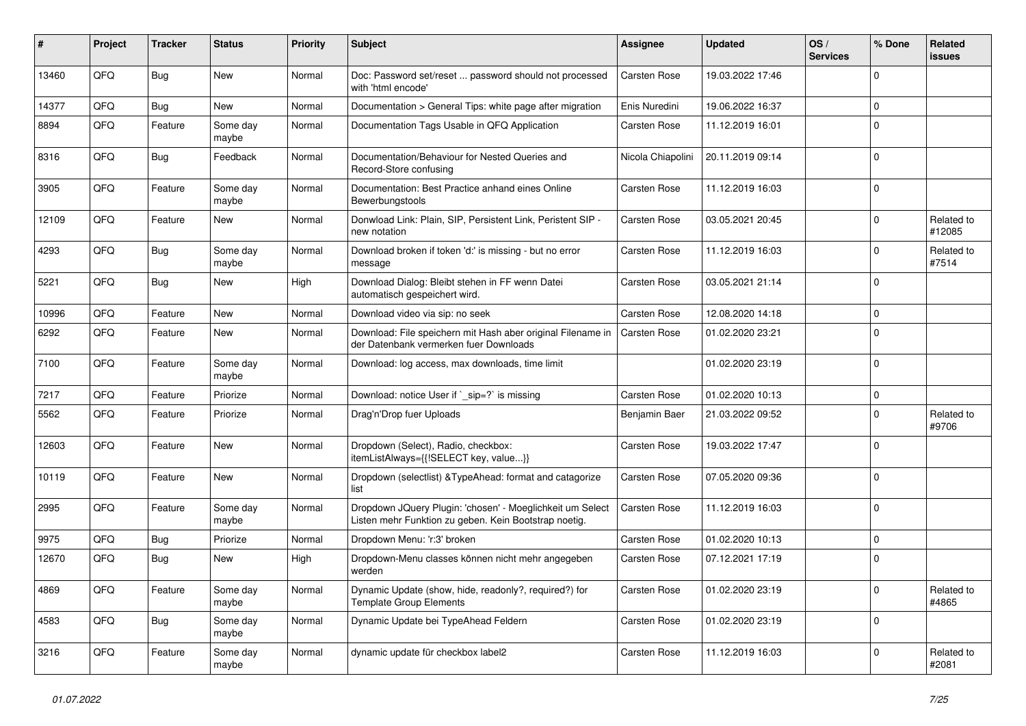| ∦     | Project | <b>Tracker</b> | <b>Status</b>     | <b>Priority</b> | <b>Subject</b>                                                                                                     | Assignee          | <b>Updated</b>   | OS/<br><b>Services</b> | % Done       | Related<br><b>issues</b> |
|-------|---------|----------------|-------------------|-----------------|--------------------------------------------------------------------------------------------------------------------|-------------------|------------------|------------------------|--------------|--------------------------|
| 13460 | QFQ     | Bug            | <b>New</b>        | Normal          | Doc: Password set/reset  password should not processed<br>with 'html encode'                                       | Carsten Rose      | 19.03.2022 17:46 |                        | $\Omega$     |                          |
| 14377 | QFQ     | Bug            | <b>New</b>        | Normal          | Documentation > General Tips: white page after migration                                                           | Enis Nuredini     | 19.06.2022 16:37 |                        | $\mathbf 0$  |                          |
| 8894  | QFQ     | Feature        | Some day<br>maybe | Normal          | Documentation Tags Usable in QFQ Application                                                                       | Carsten Rose      | 11.12.2019 16:01 |                        | $\mathbf 0$  |                          |
| 8316  | QFQ     | <b>Bug</b>     | Feedback          | Normal          | Documentation/Behaviour for Nested Queries and<br>Record-Store confusing                                           | Nicola Chiapolini | 20.11.2019 09:14 |                        | $\Omega$     |                          |
| 3905  | QFQ     | Feature        | Some day<br>maybe | Normal          | Documentation: Best Practice anhand eines Online<br>Bewerbungstools                                                | Carsten Rose      | 11.12.2019 16:03 |                        | $\Omega$     |                          |
| 12109 | QFQ     | Feature        | <b>New</b>        | Normal          | Donwload Link: Plain, SIP, Persistent Link, Peristent SIP -<br>new notation                                        | Carsten Rose      | 03.05.2021 20:45 |                        | $\Omega$     | Related to<br>#12085     |
| 4293  | QFQ     | Bug            | Some day<br>maybe | Normal          | Download broken if token 'd:' is missing - but no error<br>message                                                 | Carsten Rose      | 11.12.2019 16:03 |                        | $\Omega$     | Related to<br>#7514      |
| 5221  | QFQ     | Bug            | New               | High            | Download Dialog: Bleibt stehen in FF wenn Datei<br>automatisch gespeichert wird.                                   | Carsten Rose      | 03.05.2021 21:14 |                        | $\Omega$     |                          |
| 10996 | QFQ     | Feature        | <b>New</b>        | Normal          | Download video via sip: no seek                                                                                    | Carsten Rose      | 12.08.2020 14:18 |                        | $\Omega$     |                          |
| 6292  | QFQ     | Feature        | <b>New</b>        | Normal          | Download: File speichern mit Hash aber original Filename in<br>der Datenbank vermerken fuer Downloads              | Carsten Rose      | 01.02.2020 23:21 |                        | $\Omega$     |                          |
| 7100  | QFQ     | Feature        | Some day<br>maybe | Normal          | Download: log access, max downloads, time limit                                                                    |                   | 01.02.2020 23:19 |                        | $\Omega$     |                          |
| 7217  | QFQ     | Feature        | Priorize          | Normal          | Download: notice User if `_sip=?` is missing                                                                       | Carsten Rose      | 01.02.2020 10:13 |                        | $\mathbf 0$  |                          |
| 5562  | QFQ     | Feature        | Priorize          | Normal          | Drag'n'Drop fuer Uploads                                                                                           | Benjamin Baer     | 21.03.2022 09:52 |                        | $\Omega$     | Related to<br>#9706      |
| 12603 | QFQ     | Feature        | <b>New</b>        | Normal          | Dropdown (Select), Radio, checkbox:<br>itemListAlways={{!SELECT key, value}}                                       | Carsten Rose      | 19.03.2022 17:47 |                        | $\mathbf{0}$ |                          |
| 10119 | QFQ     | Feature        | <b>New</b>        | Normal          | Dropdown (selectlist) & Type Ahead: format and catagorize<br>list                                                  | Carsten Rose      | 07.05.2020 09:36 |                        | $\Omega$     |                          |
| 2995  | QFQ     | Feature        | Some day<br>maybe | Normal          | Dropdown JQuery Plugin: 'chosen' - Moeglichkeit um Select<br>Listen mehr Funktion zu geben. Kein Bootstrap noetig. | Carsten Rose      | 11.12.2019 16:03 |                        | $\Omega$     |                          |
| 9975  | QFQ     | Bug            | Priorize          | Normal          | Dropdown Menu: 'r:3' broken                                                                                        | Carsten Rose      | 01.02.2020 10:13 |                        | $\mathbf 0$  |                          |
| 12670 | QFQ     | Bug            | <b>New</b>        | High            | Dropdown-Menu classes können nicht mehr angegeben<br>werden                                                        | Carsten Rose      | 07.12.2021 17:19 |                        | $\mathbf{0}$ |                          |
| 4869  | QFQ     | Feature        | Some day<br>maybe | Normal          | Dynamic Update (show, hide, readonly?, required?) for<br><b>Template Group Elements</b>                            | Carsten Rose      | 01.02.2020 23:19 |                        | $\Omega$     | Related to<br>#4865      |
| 4583  | QFQ     | Bug            | Some day<br>maybe | Normal          | Dynamic Update bei TypeAhead Feldern                                                                               | Carsten Rose      | 01.02.2020 23:19 |                        | $\Omega$     |                          |
| 3216  | QFQ     | Feature        | Some day<br>maybe | Normal          | dynamic update für checkbox label2                                                                                 | Carsten Rose      | 11.12.2019 16:03 |                        | $\Omega$     | Related to<br>#2081      |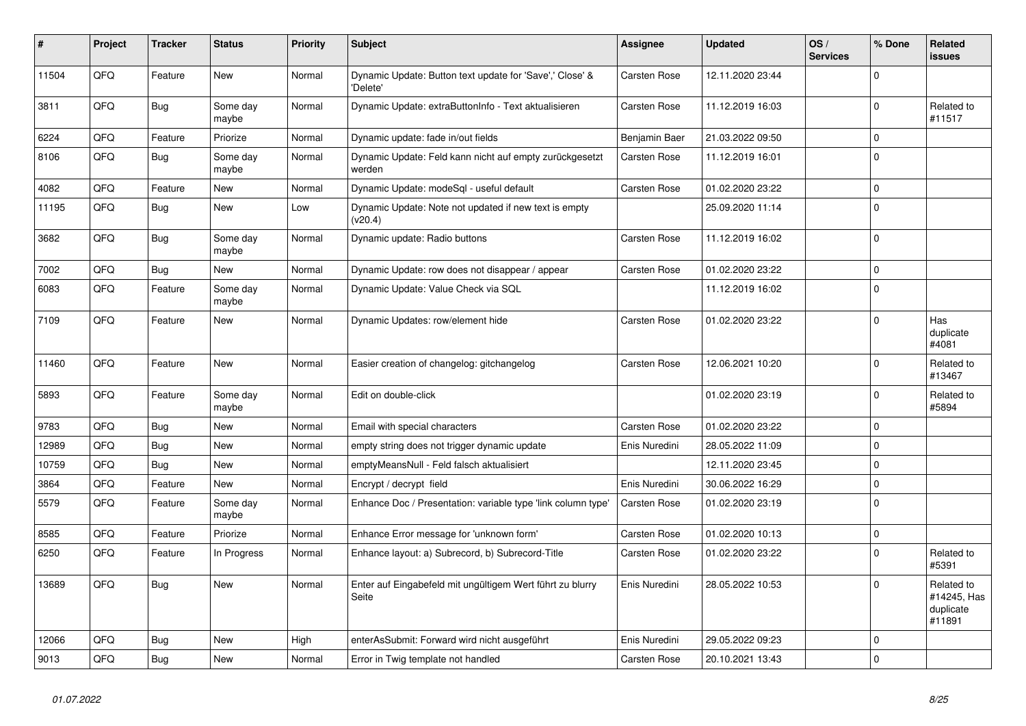| #     | Project | <b>Tracker</b> | <b>Status</b>     | <b>Priority</b> | <b>Subject</b>                                                       | Assignee      | <b>Updated</b>   | OS/<br><b>Services</b> | % Done       | Related<br><b>issues</b>                         |
|-------|---------|----------------|-------------------|-----------------|----------------------------------------------------------------------|---------------|------------------|------------------------|--------------|--------------------------------------------------|
| 11504 | QFQ     | Feature        | <b>New</b>        | Normal          | Dynamic Update: Button text update for 'Save',' Close' &<br>'Delete' | Carsten Rose  | 12.11.2020 23:44 |                        | $\Omega$     |                                                  |
| 3811  | QFQ     | <b>Bug</b>     | Some dav<br>maybe | Normal          | Dynamic Update: extraButtonInfo - Text aktualisieren                 | Carsten Rose  | 11.12.2019 16:03 |                        | $\mathbf 0$  | Related to<br>#11517                             |
| 6224  | QFQ     | Feature        | Priorize          | Normal          | Dynamic update: fade in/out fields                                   | Benjamin Baer | 21.03.2022 09:50 |                        | $\mathbf 0$  |                                                  |
| 8106  | QFQ     | <b>Bug</b>     | Some day<br>maybe | Normal          | Dynamic Update: Feld kann nicht auf empty zurückgesetzt<br>werden    | Carsten Rose  | 11.12.2019 16:01 |                        | $\mathbf 0$  |                                                  |
| 4082  | QFQ     | Feature        | New               | Normal          | Dynamic Update: modeSql - useful default                             | Carsten Rose  | 01.02.2020 23:22 |                        | $\mathbf 0$  |                                                  |
| 11195 | QFQ     | <b>Bug</b>     | <b>New</b>        | Low             | Dynamic Update: Note not updated if new text is empty<br>(v20.4)     |               | 25.09.2020 11:14 |                        | $\mathbf 0$  |                                                  |
| 3682  | QFQ     | Bug            | Some day<br>maybe | Normal          | Dynamic update: Radio buttons                                        | Carsten Rose  | 11.12.2019 16:02 |                        | $\Omega$     |                                                  |
| 7002  | QFQ     | <b>Bug</b>     | <b>New</b>        | Normal          | Dynamic Update: row does not disappear / appear                      | Carsten Rose  | 01.02.2020 23:22 |                        | $\Omega$     |                                                  |
| 6083  | QFQ     | Feature        | Some day<br>maybe | Normal          | Dynamic Update: Value Check via SQL                                  |               | 11.12.2019 16:02 |                        | $\Omega$     |                                                  |
| 7109  | QFQ     | Feature        | <b>New</b>        | Normal          | Dynamic Updates: row/element hide                                    | Carsten Rose  | 01.02.2020 23:22 |                        | $\Omega$     | Has<br>duplicate<br>#4081                        |
| 11460 | QFQ     | Feature        | New               | Normal          | Easier creation of changelog: gitchangelog                           | Carsten Rose  | 12.06.2021 10:20 |                        | $\Omega$     | Related to<br>#13467                             |
| 5893  | QFQ     | Feature        | Some day<br>maybe | Normal          | Edit on double-click                                                 |               | 01.02.2020 23:19 |                        | $\Omega$     | Related to<br>#5894                              |
| 9783  | QFQ     | Bug            | <b>New</b>        | Normal          | Email with special characters                                        | Carsten Rose  | 01.02.2020 23:22 |                        | $\Omega$     |                                                  |
| 12989 | QFQ     | Bug            | New               | Normal          | empty string does not trigger dynamic update                         | Enis Nuredini | 28.05.2022 11:09 |                        | $\Omega$     |                                                  |
| 10759 | QFQ     | Bug            | <b>New</b>        | Normal          | emptyMeansNull - Feld falsch aktualisiert                            |               | 12.11.2020 23:45 |                        | $\mathbf 0$  |                                                  |
| 3864  | QFQ     | Feature        | New               | Normal          | Encrypt / decrypt field                                              | Enis Nuredini | 30.06.2022 16:29 |                        | $\Omega$     |                                                  |
| 5579  | QFQ     | Feature        | Some day<br>maybe | Normal          | Enhance Doc / Presentation: variable type 'link column type'         | Carsten Rose  | 01.02.2020 23:19 |                        | $\Omega$     |                                                  |
| 8585  | QFQ     | Feature        | Priorize          | Normal          | Enhance Error message for 'unknown form'                             | Carsten Rose  | 01.02.2020 10:13 |                        | $\mathbf 0$  |                                                  |
| 6250  | QFQ     | Feature        | In Progress       | Normal          | Enhance layout: a) Subrecord, b) Subrecord-Title                     | Carsten Rose  | 01.02.2020 23:22 |                        | $\mathbf{0}$ | Related to<br>#5391                              |
| 13689 | QFQ     | <b>Bug</b>     | New               | Normal          | Enter auf Eingabefeld mit ungültigem Wert führt zu blurry<br>Seite   | Enis Nuredini | 28.05.2022 10:53 |                        | $\Omega$     | Related to<br>#14245, Has<br>duplicate<br>#11891 |
| 12066 | QFQ     | <b>Bug</b>     | <b>New</b>        | High            | enterAsSubmit: Forward wird nicht ausgeführt                         | Enis Nuredini | 29.05.2022 09:23 |                        | $\Omega$     |                                                  |
| 9013  | QFQ     | Bug            | New               | Normal          | Error in Twig template not handled                                   | Carsten Rose  | 20.10.2021 13:43 |                        | $\Omega$     |                                                  |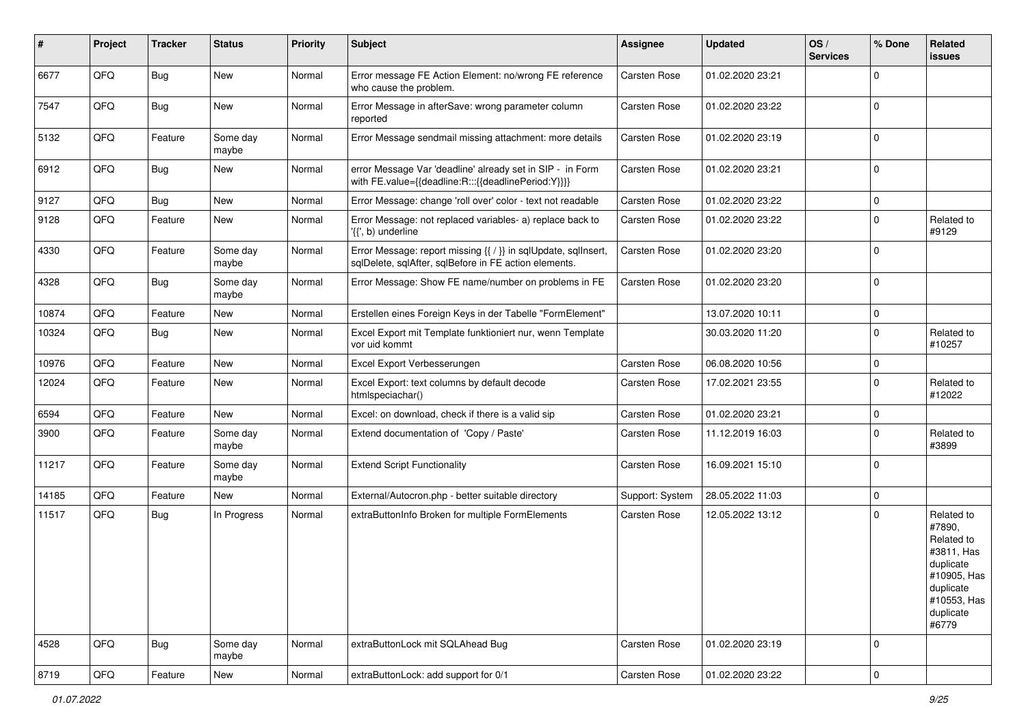| #     | Project | <b>Tracker</b> | <b>Status</b>     | <b>Priority</b> | <b>Subject</b>                                                                                                          | Assignee        | <b>Updated</b>   | OS/<br><b>Services</b> | % Done      | Related<br>issues                                                                                                              |
|-------|---------|----------------|-------------------|-----------------|-------------------------------------------------------------------------------------------------------------------------|-----------------|------------------|------------------------|-------------|--------------------------------------------------------------------------------------------------------------------------------|
| 6677  | QFQ     | <b>Bug</b>     | New               | Normal          | Error message FE Action Element: no/wrong FE reference<br>who cause the problem.                                        | Carsten Rose    | 01.02.2020 23:21 |                        | $\Omega$    |                                                                                                                                |
| 7547  | QFQ     | Bug            | New               | Normal          | Error Message in afterSave: wrong parameter column<br>reported                                                          | Carsten Rose    | 01.02.2020 23:22 |                        | $\mathbf 0$ |                                                                                                                                |
| 5132  | QFQ     | Feature        | Some day<br>maybe | Normal          | Error Message sendmail missing attachment: more details                                                                 | Carsten Rose    | 01.02.2020 23:19 |                        | $\Omega$    |                                                                                                                                |
| 6912  | QFQ     | <b>Bug</b>     | New               | Normal          | error Message Var 'deadline' already set in SIP - in Form<br>with FE.value={{deadline:R:::{{deadlinePeriod:Y}}}}        | Carsten Rose    | 01.02.2020 23:21 |                        | $\Omega$    |                                                                                                                                |
| 9127  | QFQ     | Bug            | <b>New</b>        | Normal          | Error Message: change 'roll over' color - text not readable                                                             | Carsten Rose    | 01.02.2020 23:22 |                        | $\mathbf 0$ |                                                                                                                                |
| 9128  | QFQ     | Feature        | New               | Normal          | Error Message: not replaced variables- a) replace back to<br>'{{', b) underline                                         | Carsten Rose    | 01.02.2020 23:22 |                        | $\mathbf 0$ | Related to<br>#9129                                                                                                            |
| 4330  | QFQ     | Feature        | Some day<br>maybe | Normal          | Error Message: report missing {{ / }} in sqlUpdate, sqlInsert,<br>sqlDelete, sqlAfter, sqlBefore in FE action elements. | Carsten Rose    | 01.02.2020 23:20 |                        | $\mathbf 0$ |                                                                                                                                |
| 4328  | QFQ     | <b>Bug</b>     | Some day<br>maybe | Normal          | Error Message: Show FE name/number on problems in FE                                                                    | Carsten Rose    | 01.02.2020 23:20 |                        | $\mathbf 0$ |                                                                                                                                |
| 10874 | QFQ     | Feature        | New               | Normal          | Erstellen eines Foreign Keys in der Tabelle "FormElement"                                                               |                 | 13.07.2020 10:11 |                        | $\mathbf 0$ |                                                                                                                                |
| 10324 | QFQ     | Bug            | <b>New</b>        | Normal          | Excel Export mit Template funktioniert nur, wenn Template<br>vor uid kommt                                              |                 | 30.03.2020 11:20 |                        | $\Omega$    | Related to<br>#10257                                                                                                           |
| 10976 | QFQ     | Feature        | <b>New</b>        | Normal          | Excel Export Verbesserungen                                                                                             | Carsten Rose    | 06.08.2020 10:56 |                        | $\mathbf 0$ |                                                                                                                                |
| 12024 | QFQ     | Feature        | New               | Normal          | Excel Export: text columns by default decode<br>htmlspeciachar()                                                        | Carsten Rose    | 17.02.2021 23:55 |                        | $\Omega$    | Related to<br>#12022                                                                                                           |
| 6594  | QFQ     | Feature        | <b>New</b>        | Normal          | Excel: on download, check if there is a valid sip                                                                       | Carsten Rose    | 01.02.2020 23:21 |                        | $\mathbf 0$ |                                                                                                                                |
| 3900  | QFQ     | Feature        | Some day<br>maybe | Normal          | Extend documentation of 'Copy / Paste'                                                                                  | Carsten Rose    | 11.12.2019 16:03 |                        | $\Omega$    | Related to<br>#3899                                                                                                            |
| 11217 | QFQ     | Feature        | Some day<br>maybe | Normal          | <b>Extend Script Functionality</b>                                                                                      | Carsten Rose    | 16.09.2021 15:10 |                        | $\Omega$    |                                                                                                                                |
| 14185 | QFQ     | Feature        | New               | Normal          | External/Autocron.php - better suitable directory                                                                       | Support: System | 28.05.2022 11:03 |                        | $\mathbf 0$ |                                                                                                                                |
| 11517 | QFQ     | Bug            | In Progress       | Normal          | extraButtonInfo Broken for multiple FormElements                                                                        | Carsten Rose    | 12.05.2022 13:12 |                        | $\Omega$    | Related to<br>#7890,<br>Related to<br>#3811, Has<br>duplicate<br>#10905, Has<br>duplicate<br>#10553, Has<br>duplicate<br>#6779 |
| 4528  | QFQ     | <b>Bug</b>     | Some day<br>maybe | Normal          | extraButtonLock mit SQLAhead Bug                                                                                        | Carsten Rose    | 01.02.2020 23:19 |                        | $\mathbf 0$ |                                                                                                                                |
| 8719  | QFQ     | Feature        | New               | Normal          | extraButtonLock: add support for 0/1                                                                                    | Carsten Rose    | 01.02.2020 23:22 |                        | $\mathbf 0$ |                                                                                                                                |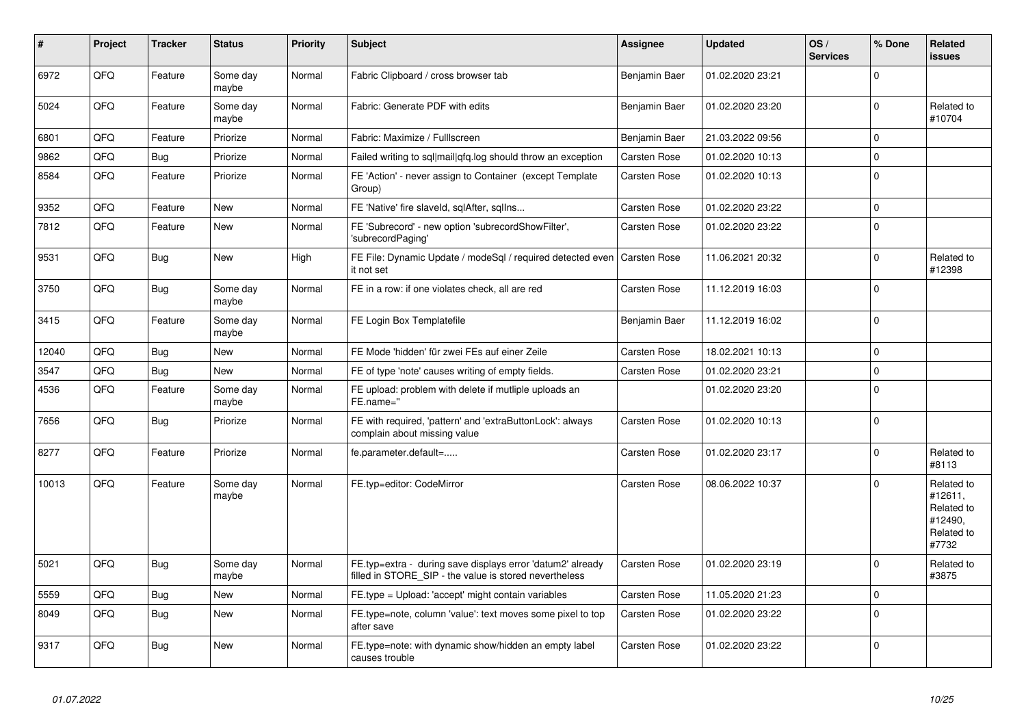| $\sharp$ | Project | <b>Tracker</b> | <b>Status</b>     | <b>Priority</b> | <b>Subject</b>                                                                                                       | Assignee      | <b>Updated</b>   | OS/<br><b>Services</b> | % Done       | Related<br><b>issues</b>                                              |
|----------|---------|----------------|-------------------|-----------------|----------------------------------------------------------------------------------------------------------------------|---------------|------------------|------------------------|--------------|-----------------------------------------------------------------------|
| 6972     | QFQ     | Feature        | Some day<br>maybe | Normal          | Fabric Clipboard / cross browser tab                                                                                 | Benjamin Baer | 01.02.2020 23:21 |                        | $\Omega$     |                                                                       |
| 5024     | QFQ     | Feature        | Some day<br>maybe | Normal          | Fabric: Generate PDF with edits                                                                                      | Benjamin Baer | 01.02.2020 23:20 |                        | $\Omega$     | Related to<br>#10704                                                  |
| 6801     | QFQ     | Feature        | Priorize          | Normal          | Fabric: Maximize / Fulllscreen                                                                                       | Benjamin Baer | 21.03.2022 09:56 |                        | $\mathbf{0}$ |                                                                       |
| 9862     | QFQ     | <b>Bug</b>     | Priorize          | Normal          | Failed writing to sql mail qfq.log should throw an exception                                                         | Carsten Rose  | 01.02.2020 10:13 |                        | $\Omega$     |                                                                       |
| 8584     | QFQ     | Feature        | Priorize          | Normal          | FE 'Action' - never assign to Container (except Template<br>Group)                                                   | Carsten Rose  | 01.02.2020 10:13 |                        | 0            |                                                                       |
| 9352     | QFQ     | Feature        | <b>New</b>        | Normal          | FE 'Native' fire slaveld, sqlAfter, sqllns                                                                           | Carsten Rose  | 01.02.2020 23:22 |                        | $\mathbf 0$  |                                                                       |
| 7812     | QFQ     | Feature        | <b>New</b>        | Normal          | FE 'Subrecord' - new option 'subrecordShowFilter',<br>'subrecordPaging'                                              | Carsten Rose  | 01.02.2020 23:22 |                        | $\mathbf 0$  |                                                                       |
| 9531     | QFQ     | <b>Bug</b>     | New               | High            | FE File: Dynamic Update / modeSgl / required detected even<br>it not set                                             | Carsten Rose  | 11.06.2021 20:32 |                        | $\mathbf 0$  | Related to<br>#12398                                                  |
| 3750     | QFQ     | Bug            | Some day<br>maybe | Normal          | FE in a row: if one violates check, all are red                                                                      | Carsten Rose  | 11.12.2019 16:03 |                        | $\Omega$     |                                                                       |
| 3415     | QFQ     | Feature        | Some day<br>maybe | Normal          | FE Login Box Templatefile                                                                                            | Benjamin Baer | 11.12.2019 16:02 |                        | $\Omega$     |                                                                       |
| 12040    | QFQ     | <b>Bug</b>     | <b>New</b>        | Normal          | FE Mode 'hidden' für zwei FEs auf einer Zeile                                                                        | Carsten Rose  | 18.02.2021 10:13 |                        | $\Omega$     |                                                                       |
| 3547     | QFQ     | Bug            | <b>New</b>        | Normal          | FE of type 'note' causes writing of empty fields.                                                                    | Carsten Rose  | 01.02.2020 23:21 |                        | $\mathbf 0$  |                                                                       |
| 4536     | QFQ     | Feature        | Some day<br>maybe | Normal          | FE upload: problem with delete if mutliple uploads an<br>FE.name="                                                   |               | 01.02.2020 23:20 |                        | $\Omega$     |                                                                       |
| 7656     | QFQ     | Bug            | Priorize          | Normal          | FE with required, 'pattern' and 'extraButtonLock': always<br>complain about missing value                            | Carsten Rose  | 01.02.2020 10:13 |                        | $\mathbf 0$  |                                                                       |
| 8277     | QFQ     | Feature        | Priorize          | Normal          | fe.parameter.default=                                                                                                | Carsten Rose  | 01.02.2020 23:17 |                        | $\Omega$     | Related to<br>#8113                                                   |
| 10013    | QFQ     | Feature        | Some day<br>maybe | Normal          | FE.typ=editor: CodeMirror                                                                                            | Carsten Rose  | 08.06.2022 10:37 |                        | $\Omega$     | Related to<br>#12611.<br>Related to<br>#12490,<br>Related to<br>#7732 |
| 5021     | QFQ     | <b>Bug</b>     | Some day<br>maybe | Normal          | FE.typ=extra - during save displays error 'datum2' already<br>filled in STORE SIP - the value is stored nevertheless | Carsten Rose  | 01.02.2020 23:19 |                        | $\Omega$     | Related to<br>#3875                                                   |
| 5559     | QFQ     | Bug            | New               | Normal          | FE.type = Upload: 'accept' might contain variables                                                                   | Carsten Rose  | 11.05.2020 21:23 |                        | $\mathbf 0$  |                                                                       |
| 8049     | QFQ     | <b>Bug</b>     | <b>New</b>        | Normal          | FE.type=note, column 'value': text moves some pixel to top<br>after save                                             | Carsten Rose  | 01.02.2020 23:22 |                        | $\Omega$     |                                                                       |
| 9317     | QFQ     | Bug            | <b>New</b>        | Normal          | FE.type=note: with dynamic show/hidden an empty label<br>causes trouble                                              | Carsten Rose  | 01.02.2020 23:22 |                        | $\mathbf{0}$ |                                                                       |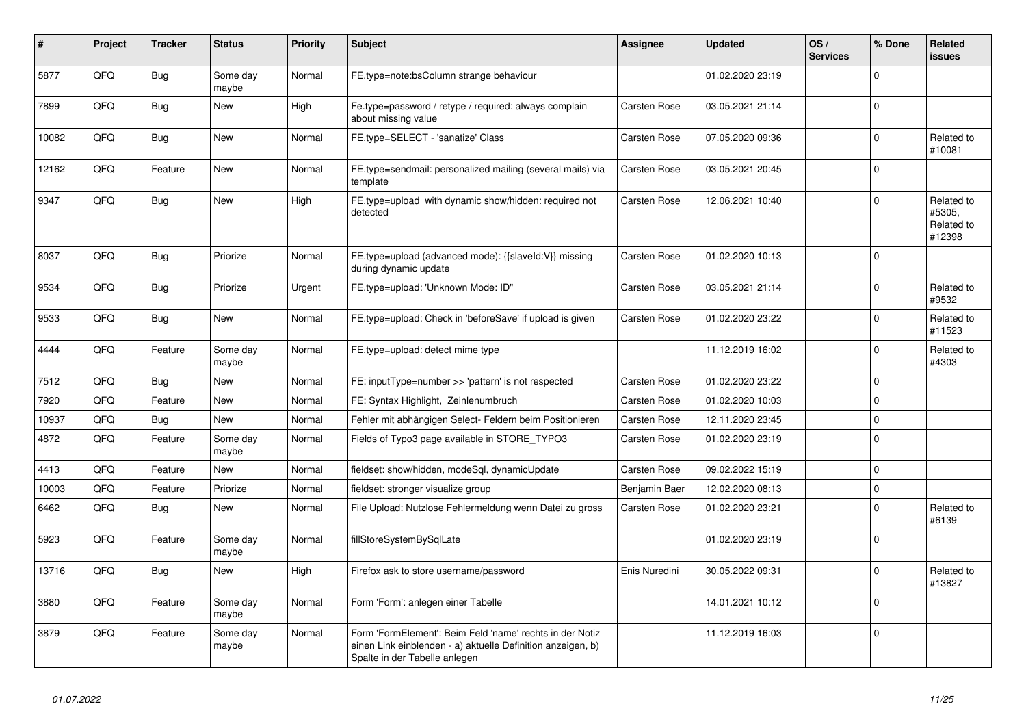| #     | Project | <b>Tracker</b> | <b>Status</b>     | <b>Priority</b> | <b>Subject</b>                                                                                                                                           | <b>Assignee</b> | <b>Updated</b>   | OS/<br><b>Services</b> | % Done              | <b>Related</b><br><b>issues</b>              |
|-------|---------|----------------|-------------------|-----------------|----------------------------------------------------------------------------------------------------------------------------------------------------------|-----------------|------------------|------------------------|---------------------|----------------------------------------------|
| 5877  | QFQ     | Bug            | Some day<br>maybe | Normal          | FE.type=note:bsColumn strange behaviour                                                                                                                  |                 | 01.02.2020 23:19 |                        | $\Omega$            |                                              |
| 7899  | QFQ     | Bug            | <b>New</b>        | High            | Fe.type=password / retype / required: always complain<br>about missing value                                                                             | Carsten Rose    | 03.05.2021 21:14 |                        | $\mathbf 0$         |                                              |
| 10082 | QFQ     | Bug            | New               | Normal          | FE.type=SELECT - 'sanatize' Class                                                                                                                        | Carsten Rose    | 07.05.2020 09:36 |                        | $\mathbf 0$         | Related to<br>#10081                         |
| 12162 | QFQ     | Feature        | New               | Normal          | FE.type=sendmail: personalized mailing (several mails) via<br>template                                                                                   | Carsten Rose    | 03.05.2021 20:45 |                        | $\mathbf 0$         |                                              |
| 9347  | QFQ     | Bug            | <b>New</b>        | High            | FE.type=upload with dynamic show/hidden: required not<br>detected                                                                                        | Carsten Rose    | 12.06.2021 10:40 |                        | $\Omega$            | Related to<br>#5305,<br>Related to<br>#12398 |
| 8037  | QFQ     | Bug            | Priorize          | Normal          | FE.type=upload (advanced mode): {{slaveld:V}} missing<br>during dynamic update                                                                           | Carsten Rose    | 01.02.2020 10:13 |                        | $\mathbf 0$         |                                              |
| 9534  | QFQ     | Bug            | Priorize          | Urgent          | FE.type=upload: 'Unknown Mode: ID"                                                                                                                       | Carsten Rose    | 03.05.2021 21:14 |                        | $\mathbf 0$         | Related to<br>#9532                          |
| 9533  | QFQ     | Bug            | <b>New</b>        | Normal          | FE.type=upload: Check in 'beforeSave' if upload is given                                                                                                 | Carsten Rose    | 01.02.2020 23:22 |                        | $\Omega$            | Related to<br>#11523                         |
| 4444  | QFQ     | Feature        | Some day<br>maybe | Normal          | FE.type=upload: detect mime type                                                                                                                         |                 | 11.12.2019 16:02 |                        | $\Omega$            | Related to<br>#4303                          |
| 7512  | QFQ     | Bug            | <b>New</b>        | Normal          | FE: inputType=number >> 'pattern' is not respected                                                                                                       | Carsten Rose    | 01.02.2020 23:22 |                        | $\mathbf 0$         |                                              |
| 7920  | QFQ     | Feature        | <b>New</b>        | Normal          | FE: Syntax Highlight, Zeinlenumbruch                                                                                                                     | Carsten Rose    | 01.02.2020 10:03 |                        | $\mathbf 0$         |                                              |
| 10937 | QFQ     | Bug            | <b>New</b>        | Normal          | Fehler mit abhängigen Select- Feldern beim Positionieren                                                                                                 | Carsten Rose    | 12.11.2020 23:45 |                        | $\mathsf 0$         |                                              |
| 4872  | QFQ     | Feature        | Some day<br>maybe | Normal          | Fields of Typo3 page available in STORE_TYPO3                                                                                                            | Carsten Rose    | 01.02.2020 23:19 |                        | $\mathbf 0$         |                                              |
| 4413  | QFQ     | Feature        | <b>New</b>        | Normal          | fieldset: show/hidden, modeSql, dynamicUpdate                                                                                                            | Carsten Rose    | 09.02.2022 15:19 |                        | $\mathbf 0$         |                                              |
| 10003 | QFQ     | Feature        | Priorize          | Normal          | fieldset: stronger visualize group                                                                                                                       | Benjamin Baer   | 12.02.2020 08:13 |                        | $\mathsf{O}\xspace$ |                                              |
| 6462  | QFQ     | <b>Bug</b>     | <b>New</b>        | Normal          | File Upload: Nutzlose Fehlermeldung wenn Datei zu gross                                                                                                  | Carsten Rose    | 01.02.2020 23:21 |                        | $\Omega$            | Related to<br>#6139                          |
| 5923  | QFQ     | Feature        | Some day<br>maybe | Normal          | fillStoreSystemBySqlLate                                                                                                                                 |                 | 01.02.2020 23:19 |                        | $\mathbf 0$         |                                              |
| 13716 | QFQ     | Bug            | <b>New</b>        | High            | Firefox ask to store username/password                                                                                                                   | Enis Nuredini   | 30.05.2022 09:31 |                        | $\mathbf 0$         | Related to<br>#13827                         |
| 3880  | QFQ     | Feature        | Some day<br>maybe | Normal          | Form 'Form': anlegen einer Tabelle                                                                                                                       |                 | 14.01.2021 10:12 |                        | $\Omega$            |                                              |
| 3879  | QFQ     | Feature        | Some day<br>maybe | Normal          | Form 'FormElement': Beim Feld 'name' rechts in der Notiz<br>einen Link einblenden - a) aktuelle Definition anzeigen, b)<br>Spalte in der Tabelle anlegen |                 | 11.12.2019 16:03 |                        | $\mathbf 0$         |                                              |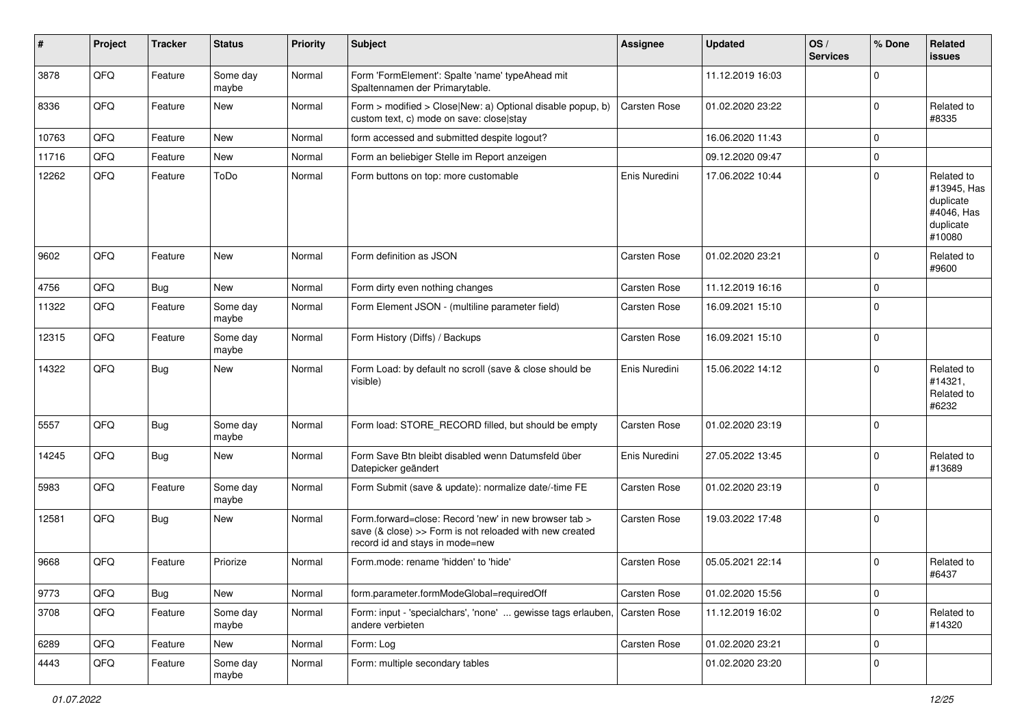| #     | Project | <b>Tracker</b> | <b>Status</b>     | <b>Priority</b> | Subject                                                                                                                                             | <b>Assignee</b> | <b>Updated</b>   | OS/<br><b>Services</b> | % Done      | Related<br><b>issues</b>                                                    |
|-------|---------|----------------|-------------------|-----------------|-----------------------------------------------------------------------------------------------------------------------------------------------------|-----------------|------------------|------------------------|-------------|-----------------------------------------------------------------------------|
| 3878  | QFQ     | Feature        | Some day<br>maybe | Normal          | Form 'FormElement': Spalte 'name' typeAhead mit<br>Spaltennamen der Primarytable.                                                                   |                 | 11.12.2019 16:03 |                        | $\mathbf 0$ |                                                                             |
| 8336  | QFQ     | Feature        | New               | Normal          | Form > modified > Close New: a) Optional disable popup, b)<br>custom text, c) mode on save: close stay                                              | Carsten Rose    | 01.02.2020 23:22 |                        | $\mathbf 0$ | Related to<br>#8335                                                         |
| 10763 | QFQ     | Feature        | New               | Normal          | form accessed and submitted despite logout?                                                                                                         |                 | 16.06.2020 11:43 |                        | $\mathbf 0$ |                                                                             |
| 11716 | QFQ     | Feature        | <b>New</b>        | Normal          | Form an beliebiger Stelle im Report anzeigen                                                                                                        |                 | 09.12.2020 09:47 |                        | 0           |                                                                             |
| 12262 | QFQ     | Feature        | ToDo              | Normal          | Form buttons on top: more customable                                                                                                                | Enis Nuredini   | 17.06.2022 10:44 |                        | $\mathbf 0$ | Related to<br>#13945, Has<br>duplicate<br>#4046. Has<br>duplicate<br>#10080 |
| 9602  | QFQ     | Feature        | New               | Normal          | Form definition as JSON                                                                                                                             | Carsten Rose    | 01.02.2020 23:21 |                        | 0           | Related to<br>#9600                                                         |
| 4756  | QFQ     | <b>Bug</b>     | New               | Normal          | Form dirty even nothing changes                                                                                                                     | Carsten Rose    | 11.12.2019 16:16 |                        | $\mathbf 0$ |                                                                             |
| 11322 | QFQ     | Feature        | Some day<br>maybe | Normal          | Form Element JSON - (multiline parameter field)                                                                                                     | Carsten Rose    | 16.09.2021 15:10 |                        | $\mathbf 0$ |                                                                             |
| 12315 | QFQ     | Feature        | Some day<br>maybe | Normal          | Form History (Diffs) / Backups                                                                                                                      | Carsten Rose    | 16.09.2021 15:10 |                        | 0           |                                                                             |
| 14322 | QFQ     | Bug            | New               | Normal          | Form Load: by default no scroll (save & close should be<br>visible)                                                                                 | Enis Nuredini   | 15.06.2022 14:12 |                        | $\mathbf 0$ | Related to<br>#14321,<br>Related to<br>#6232                                |
| 5557  | QFQ     | Bug            | Some day<br>maybe | Normal          | Form load: STORE_RECORD filled, but should be empty                                                                                                 | Carsten Rose    | 01.02.2020 23:19 |                        | $\mathbf 0$ |                                                                             |
| 14245 | QFQ     | Bug            | <b>New</b>        | Normal          | Form Save Btn bleibt disabled wenn Datumsfeld über<br>Datepicker geändert                                                                           | Enis Nuredini   | 27.05.2022 13:45 |                        | $\mathbf 0$ | Related to<br>#13689                                                        |
| 5983  | QFQ     | Feature        | Some day<br>maybe | Normal          | Form Submit (save & update): normalize date/-time FE                                                                                                | Carsten Rose    | 01.02.2020 23:19 |                        | $\mathbf 0$ |                                                                             |
| 12581 | QFQ     | <b>Bug</b>     | New               | Normal          | Form.forward=close: Record 'new' in new browser tab ><br>save (& close) >> Form is not reloaded with new created<br>record id and stays in mode=new | Carsten Rose    | 19.03.2022 17:48 |                        | $\mathbf 0$ |                                                                             |
| 9668  | QFQ     | Feature        | Priorize          | Normal          | Form.mode: rename 'hidden' to 'hide'                                                                                                                | Carsten Rose    | 05.05.2021 22:14 |                        | $\mathbf 0$ | Related to<br>#6437                                                         |
| 9773  | QFQ     | <b>Bug</b>     | New               | Normal          | form.parameter.formModeGlobal=requiredOff                                                                                                           | Carsten Rose    | 01.02.2020 15:56 |                        | $\mathbf 0$ |                                                                             |
| 3708  | QFQ     | Feature        | Some day<br>maybe | Normal          | Form: input - 'specialchars', 'none'  gewisse tags erlauben,<br>andere verbieten                                                                    | Carsten Rose    | 11.12.2019 16:02 |                        | 0           | Related to<br>#14320                                                        |
| 6289  | QFQ     | Feature        | New               | Normal          | Form: Log                                                                                                                                           | Carsten Rose    | 01.02.2020 23:21 |                        | $\mathbf 0$ |                                                                             |
| 4443  | QFQ     | Feature        | Some day<br>maybe | Normal          | Form: multiple secondary tables                                                                                                                     |                 | 01.02.2020 23:20 |                        | $\mathbf 0$ |                                                                             |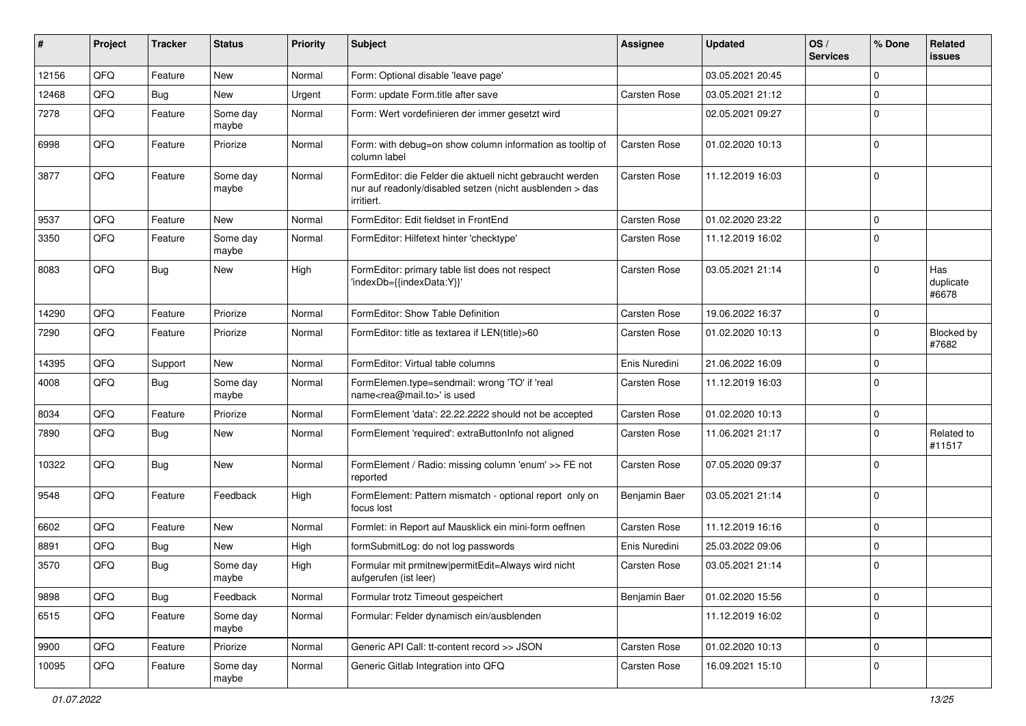| #     | Project | <b>Tracker</b> | <b>Status</b>     | <b>Priority</b> | <b>Subject</b>                                                                                                                      | <b>Assignee</b>     | <b>Updated</b>   | OS/<br><b>Services</b> | % Done       | Related<br><b>issues</b>  |
|-------|---------|----------------|-------------------|-----------------|-------------------------------------------------------------------------------------------------------------------------------------|---------------------|------------------|------------------------|--------------|---------------------------|
| 12156 | QFQ     | Feature        | <b>New</b>        | Normal          | Form: Optional disable 'leave page'                                                                                                 |                     | 03.05.2021 20:45 |                        | $\Omega$     |                           |
| 12468 | QFQ     | Bug            | <b>New</b>        | Urgent          | Form: update Form.title after save                                                                                                  | Carsten Rose        | 03.05.2021 21:12 |                        | $\Omega$     |                           |
| 7278  | QFQ     | Feature        | Some day<br>maybe | Normal          | Form: Wert vordefinieren der immer gesetzt wird                                                                                     |                     | 02.05.2021 09:27 |                        | $\Omega$     |                           |
| 6998  | QFQ     | Feature        | Priorize          | Normal          | Form: with debug=on show column information as tooltip of<br>column label                                                           | Carsten Rose        | 01.02.2020 10:13 |                        | $\Omega$     |                           |
| 3877  | QFQ     | Feature        | Some day<br>maybe | Normal          | FormEditor: die Felder die aktuell nicht gebraucht werden<br>nur auf readonly/disabled setzen (nicht ausblenden > das<br>irritiert. | Carsten Rose        | 11.12.2019 16:03 |                        | $\Omega$     |                           |
| 9537  | QFQ     | Feature        | New               | Normal          | FormEditor: Edit fieldset in FrontEnd                                                                                               | Carsten Rose        | 01.02.2020 23:22 |                        | $\mathbf{0}$ |                           |
| 3350  | QFQ     | Feature        | Some day<br>maybe | Normal          | FormEditor: Hilfetext hinter 'checktype'                                                                                            | <b>Carsten Rose</b> | 11.12.2019 16:02 |                        | $\Omega$     |                           |
| 8083  | QFQ     | Bug            | <b>New</b>        | High            | FormEditor: primary table list does not respect<br>'indexDb={{indexData:Y}}'                                                        | <b>Carsten Rose</b> | 03.05.2021 21:14 |                        | $\Omega$     | Has<br>duplicate<br>#6678 |
| 14290 | QFQ     | Feature        | Priorize          | Normal          | FormEditor: Show Table Definition                                                                                                   | <b>Carsten Rose</b> | 19.06.2022 16:37 |                        | 0            |                           |
| 7290  | QFQ     | Feature        | Priorize          | Normal          | FormEditor: title as textarea if LEN(title)>60                                                                                      | <b>Carsten Rose</b> | 01.02.2020 10:13 |                        | $\Omega$     | Blocked by<br>#7682       |
| 14395 | QFQ     | Support        | New               | Normal          | FormEditor: Virtual table columns                                                                                                   | Enis Nuredini       | 21.06.2022 16:09 |                        | $\Omega$     |                           |
| 4008  | QFQ     | Bug            | Some day<br>maybe | Normal          | FormElemen.type=sendmail: wrong 'TO' if 'real<br>name <rea@mail.to>' is used</rea@mail.to>                                          | <b>Carsten Rose</b> | 11.12.2019 16:03 |                        | $\Omega$     |                           |
| 8034  | QFQ     | Feature        | Priorize          | Normal          | FormElement 'data': 22.22.2222 should not be accepted                                                                               | Carsten Rose        | 01.02.2020 10:13 |                        | $\mathbf 0$  |                           |
| 7890  | QFQ     | Bug            | <b>New</b>        | Normal          | FormElement 'required': extraButtonInfo not aligned                                                                                 | <b>Carsten Rose</b> | 11.06.2021 21:17 |                        | $\Omega$     | Related to<br>#11517      |
| 10322 | QFQ     | Bug            | <b>New</b>        | Normal          | FormElement / Radio: missing column 'enum' >> FE not<br>reported                                                                    | Carsten Rose        | 07.05.2020 09:37 |                        | $\Omega$     |                           |
| 9548  | QFQ     | Feature        | Feedback          | High            | FormElement: Pattern mismatch - optional report only on<br>focus lost                                                               | Benjamin Baer       | 03.05.2021 21:14 |                        | $\Omega$     |                           |
| 6602  | QFQ     | Feature        | <b>New</b>        | Normal          | Formlet: in Report auf Mausklick ein mini-form oeffnen                                                                              | Carsten Rose        | 11.12.2019 16:16 |                        | $\mathbf 0$  |                           |
| 8891  | QFQ     | Bug            | New               | High            | formSubmitLog: do not log passwords                                                                                                 | Enis Nuredini       | 25.03.2022 09:06 |                        | $\Omega$     |                           |
| 3570  | QFQ     | Bug            | Some day<br>maybe | High            | Formular mit prmitnew permitEdit=Always wird nicht<br>aufgerufen (ist leer)                                                         | <b>Carsten Rose</b> | 03.05.2021 21:14 |                        | $\Omega$     |                           |
| 9898  | QFQ     | <b>Bug</b>     | Feedback          | Normal          | Formular trotz Timeout gespeichert                                                                                                  | Benjamin Baer       | 01.02.2020 15:56 |                        | $\mathbf 0$  |                           |
| 6515  | QFQ     | Feature        | Some day<br>maybe | Normal          | Formular: Felder dynamisch ein/ausblenden                                                                                           |                     | 11.12.2019 16:02 |                        | $\Omega$     |                           |
| 9900  | QFQ     | Feature        | Priorize          | Normal          | Generic API Call: tt-content record >> JSON                                                                                         | Carsten Rose        | 01.02.2020 10:13 |                        | 0            |                           |
| 10095 | QFQ     | Feature        | Some day<br>maybe | Normal          | Generic Gitlab Integration into QFQ                                                                                                 | Carsten Rose        | 16.09.2021 15:10 |                        | $\mathbf 0$  |                           |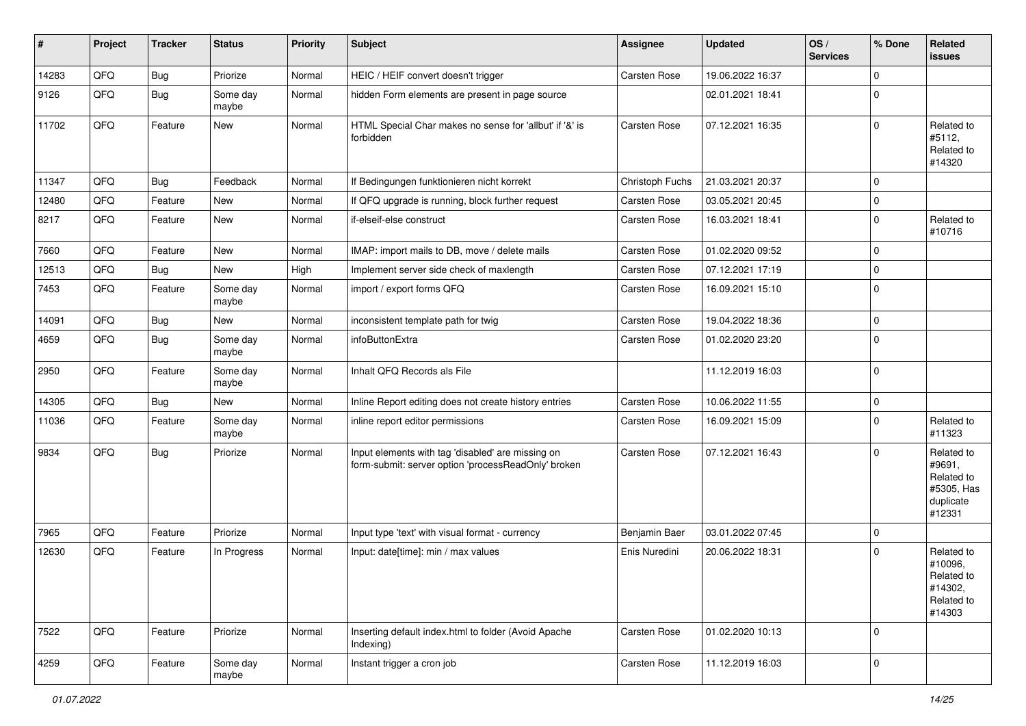| #     | Project | <b>Tracker</b> | <b>Status</b>     | <b>Priority</b> | <b>Subject</b>                                                                                           | <b>Assignee</b> | <b>Updated</b>   | OS/<br><b>Services</b> | % Done      | Related<br>issues                                                       |
|-------|---------|----------------|-------------------|-----------------|----------------------------------------------------------------------------------------------------------|-----------------|------------------|------------------------|-------------|-------------------------------------------------------------------------|
| 14283 | QFQ     | Bug            | Priorize          | Normal          | HEIC / HEIF convert doesn't trigger                                                                      | Carsten Rose    | 19.06.2022 16:37 |                        | $\mathbf 0$ |                                                                         |
| 9126  | QFQ     | Bug            | Some day<br>maybe | Normal          | hidden Form elements are present in page source                                                          |                 | 02.01.2021 18:41 |                        | $\mathbf 0$ |                                                                         |
| 11702 | QFQ     | Feature        | New               | Normal          | HTML Special Char makes no sense for 'allbut' if '&' is<br>forbidden                                     | Carsten Rose    | 07.12.2021 16:35 |                        | $\mathbf 0$ | Related to<br>#5112,<br>Related to<br>#14320                            |
| 11347 | QFQ     | <b>Bug</b>     | Feedback          | Normal          | If Bedingungen funktionieren nicht korrekt                                                               | Christoph Fuchs | 21.03.2021 20:37 |                        | $\mathbf 0$ |                                                                         |
| 12480 | QFQ     | Feature        | <b>New</b>        | Normal          | If QFQ upgrade is running, block further request                                                         | Carsten Rose    | 03.05.2021 20:45 |                        | $\mathbf 0$ |                                                                         |
| 8217  | QFQ     | Feature        | <b>New</b>        | Normal          | if-elseif-else construct                                                                                 | Carsten Rose    | 16.03.2021 18:41 |                        | $\mathbf 0$ | Related to<br>#10716                                                    |
| 7660  | QFQ     | Feature        | New               | Normal          | IMAP: import mails to DB, move / delete mails                                                            | Carsten Rose    | 01.02.2020 09:52 |                        | $\mathbf 0$ |                                                                         |
| 12513 | QFQ     | <b>Bug</b>     | New               | High            | Implement server side check of maxlength                                                                 | Carsten Rose    | 07.12.2021 17:19 |                        | $\mathbf 0$ |                                                                         |
| 7453  | QFQ     | Feature        | Some day<br>maybe | Normal          | import / export forms QFQ                                                                                | Carsten Rose    | 16.09.2021 15:10 |                        | $\mathbf 0$ |                                                                         |
| 14091 | QFQ     | Bug            | New               | Normal          | inconsistent template path for twig                                                                      | Carsten Rose    | 19.04.2022 18:36 |                        | $\mathbf 0$ |                                                                         |
| 4659  | QFQ     | Bug            | Some day<br>maybe | Normal          | infoButtonExtra                                                                                          | Carsten Rose    | 01.02.2020 23:20 |                        | $\mathbf 0$ |                                                                         |
| 2950  | QFQ     | Feature        | Some day<br>maybe | Normal          | Inhalt QFQ Records als File                                                                              |                 | 11.12.2019 16:03 |                        | $\mathbf 0$ |                                                                         |
| 14305 | QFQ     | <b>Bug</b>     | <b>New</b>        | Normal          | Inline Report editing does not create history entries                                                    | Carsten Rose    | 10.06.2022 11:55 |                        | $\mathbf 0$ |                                                                         |
| 11036 | QFQ     | Feature        | Some day<br>maybe | Normal          | inline report editor permissions                                                                         | Carsten Rose    | 16.09.2021 15:09 |                        | $\mathbf 0$ | Related to<br>#11323                                                    |
| 9834  | QFQ     | Bug            | Priorize          | Normal          | Input elements with tag 'disabled' are missing on<br>form-submit: server option 'processReadOnly' broken | Carsten Rose    | 07.12.2021 16:43 |                        | $\mathbf 0$ | Related to<br>#9691,<br>Related to<br>#5305, Has<br>duplicate<br>#12331 |
| 7965  | QFQ     | Feature        | Priorize          | Normal          | Input type 'text' with visual format - currency                                                          | Benjamin Baer   | 03.01.2022 07:45 |                        | $\mathbf 0$ |                                                                         |
| 12630 | QFQ     | Feature        | In Progress       | Normal          | Input: date[time]: min / max values                                                                      | Enis Nuredini   | 20.06.2022 18:31 |                        | $\mathbf 0$ | Related to<br>#10096,<br>Related to<br>#14302,<br>Related to<br>#14303  |
| 7522  | QFQ     | Feature        | Priorize          | Normal          | Inserting default index.html to folder (Avoid Apache<br>Indexing)                                        | Carsten Rose    | 01.02.2020 10:13 |                        | $\mathbf 0$ |                                                                         |
| 4259  | QFQ     | Feature        | Some day<br>maybe | Normal          | Instant trigger a cron job                                                                               | Carsten Rose    | 11.12.2019 16:03 |                        | $\mathbf 0$ |                                                                         |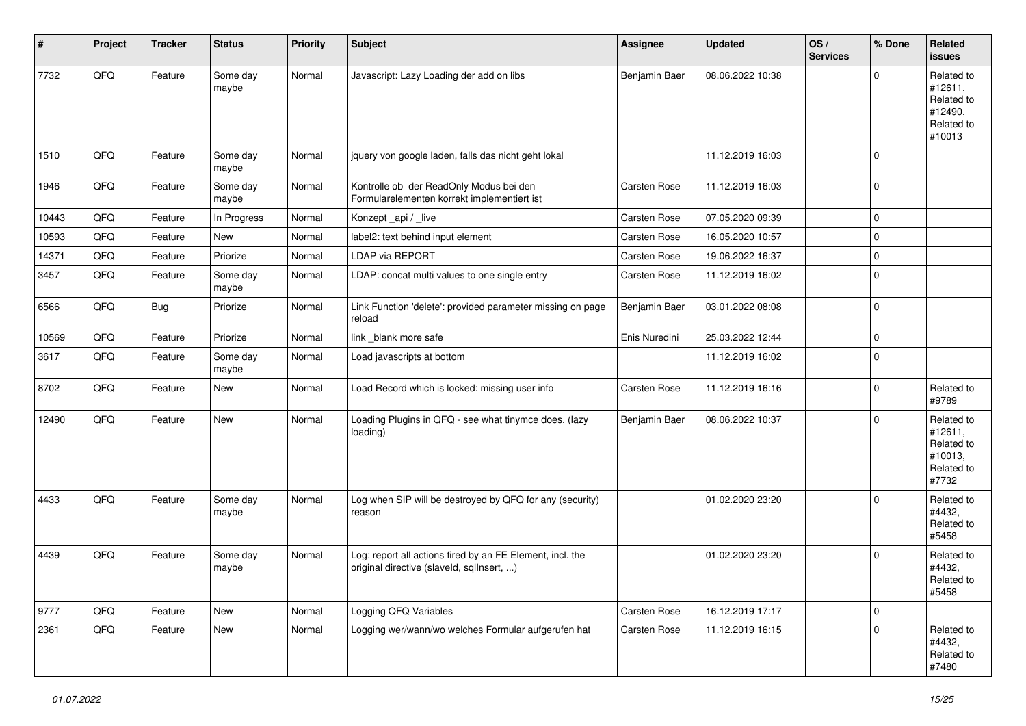| #     | Project | <b>Tracker</b> | <b>Status</b>     | <b>Priority</b> | <b>Subject</b>                                                                                         | <b>Assignee</b> | <b>Updated</b>   | OS/<br><b>Services</b> | % Done              | Related<br><b>issues</b>                                               |
|-------|---------|----------------|-------------------|-----------------|--------------------------------------------------------------------------------------------------------|-----------------|------------------|------------------------|---------------------|------------------------------------------------------------------------|
| 7732  | QFQ     | Feature        | Some day<br>maybe | Normal          | Javascript: Lazy Loading der add on libs                                                               | Benjamin Baer   | 08.06.2022 10:38 |                        | $\mathbf 0$         | Related to<br>#12611,<br>Related to<br>#12490,<br>Related to<br>#10013 |
| 1510  | QFQ     | Feature        | Some day<br>maybe | Normal          | jquery von google laden, falls das nicht geht lokal                                                    |                 | 11.12.2019 16:03 |                        | $\mathbf 0$         |                                                                        |
| 1946  | QFQ     | Feature        | Some day<br>maybe | Normal          | Kontrolle ob der ReadOnly Modus bei den<br>Formularelementen korrekt implementiert ist                 | Carsten Rose    | 11.12.2019 16:03 |                        | $\mathbf 0$         |                                                                        |
| 10443 | QFQ     | Feature        | In Progress       | Normal          | Konzept_api / _live                                                                                    | Carsten Rose    | 07.05.2020 09:39 |                        | $\mathbf 0$         |                                                                        |
| 10593 | QFQ     | Feature        | <b>New</b>        | Normal          | label2: text behind input element                                                                      | Carsten Rose    | 16.05.2020 10:57 |                        | $\mathbf 0$         |                                                                        |
| 14371 | QFQ     | Feature        | Priorize          | Normal          | LDAP via REPORT                                                                                        | Carsten Rose    | 19.06.2022 16:37 |                        | $\mathbf 0$         |                                                                        |
| 3457  | QFQ     | Feature        | Some day<br>maybe | Normal          | LDAP: concat multi values to one single entry                                                          | Carsten Rose    | 11.12.2019 16:02 |                        | $\mathbf 0$         |                                                                        |
| 6566  | QFQ     | <b>Bug</b>     | Priorize          | Normal          | Link Function 'delete': provided parameter missing on page<br>reload                                   | Benjamin Baer   | 03.01.2022 08:08 |                        | $\mathbf 0$         |                                                                        |
| 10569 | QFQ     | Feature        | Priorize          | Normal          | link blank more safe                                                                                   | Enis Nuredini   | 25.03.2022 12:44 |                        | $\pmb{0}$           |                                                                        |
| 3617  | QFQ     | Feature        | Some day<br>maybe | Normal          | Load javascripts at bottom                                                                             |                 | 11.12.2019 16:02 |                        | $\mathbf 0$         |                                                                        |
| 8702  | QFQ     | Feature        | New               | Normal          | Load Record which is locked: missing user info                                                         | Carsten Rose    | 11.12.2019 16:16 |                        | $\mathbf 0$         | Related to<br>#9789                                                    |
| 12490 | QFQ     | Feature        | New               | Normal          | Loading Plugins in QFQ - see what tinymce does. (lazy<br>loading)                                      | Benjamin Baer   | 08.06.2022 10:37 |                        | $\mathbf 0$         | Related to<br>#12611,<br>Related to<br>#10013,<br>Related to<br>#7732  |
| 4433  | QFQ     | Feature        | Some day<br>maybe | Normal          | Log when SIP will be destroyed by QFQ for any (security)<br>reason                                     |                 | 01.02.2020 23:20 |                        | $\mathbf 0$         | Related to<br>#4432,<br>Related to<br>#5458                            |
| 4439  | QFQ     | Feature        | Some day<br>maybe | Normal          | Log: report all actions fired by an FE Element, incl. the<br>original directive (slaveld, sgllnsert, ) |                 | 01.02.2020 23:20 |                        | $\mathbf 0$         | Related to<br>#4432,<br>Related to<br>#5458                            |
| 9777  | QFQ     | Feature        | New               | Normal          | Logging QFQ Variables                                                                                  | Carsten Rose    | 16.12.2019 17:17 |                        | $\mathsf{O}\xspace$ |                                                                        |
| 2361  | QFQ     | Feature        | New               | Normal          | Logging wer/wann/wo welches Formular aufgerufen hat                                                    | Carsten Rose    | 11.12.2019 16:15 |                        | $\mathbf 0$         | Related to<br>#4432,<br>Related to<br>#7480                            |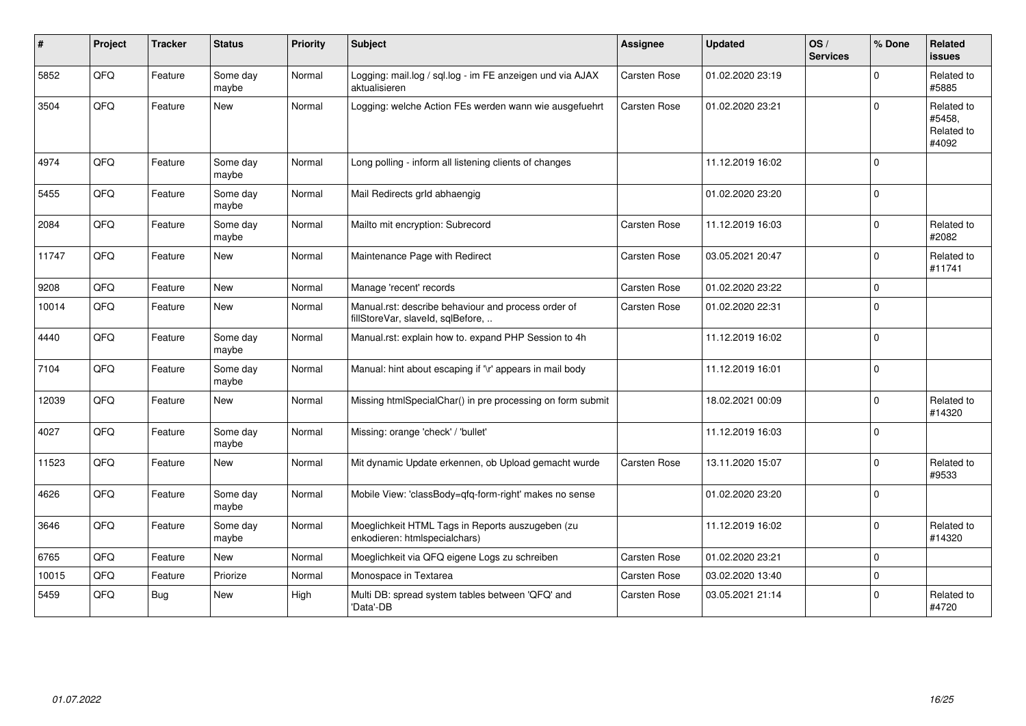| $\#$  | Project | <b>Tracker</b> | <b>Status</b>     | <b>Priority</b> | <b>Subject</b>                                                                           | <b>Assignee</b> | <b>Updated</b>   | OS/<br><b>Services</b> | % Done      | <b>Related</b><br><b>issues</b>             |
|-------|---------|----------------|-------------------|-----------------|------------------------------------------------------------------------------------------|-----------------|------------------|------------------------|-------------|---------------------------------------------|
| 5852  | QFQ     | Feature        | Some day<br>maybe | Normal          | Logging: mail.log / sql.log - im FE anzeigen und via AJAX<br>aktualisieren               | Carsten Rose    | 01.02.2020 23:19 |                        | $\Omega$    | Related to<br>#5885                         |
| 3504  | QFQ     | Feature        | <b>New</b>        | Normal          | Logging: welche Action FEs werden wann wie ausgefuehrt                                   | Carsten Rose    | 01.02.2020 23:21 |                        | $\mathbf 0$ | Related to<br>#5458,<br>Related to<br>#4092 |
| 4974  | QFQ     | Feature        | Some day<br>maybe | Normal          | Long polling - inform all listening clients of changes                                   |                 | 11.12.2019 16:02 |                        | $\mathbf 0$ |                                             |
| 5455  | QFQ     | Feature        | Some day<br>maybe | Normal          | Mail Redirects grld abhaengig                                                            |                 | 01.02.2020 23:20 |                        | $\mathbf 0$ |                                             |
| 2084  | QFQ     | Feature        | Some day<br>maybe | Normal          | Mailto mit encryption: Subrecord                                                         | Carsten Rose    | 11.12.2019 16:03 |                        | $\Omega$    | Related to<br>#2082                         |
| 11747 | QFQ     | Feature        | <b>New</b>        | Normal          | Maintenance Page with Redirect                                                           | Carsten Rose    | 03.05.2021 20:47 |                        | $\mathbf 0$ | Related to<br>#11741                        |
| 9208  | QFQ     | Feature        | <b>New</b>        | Normal          | Manage 'recent' records                                                                  | Carsten Rose    | 01.02.2020 23:22 |                        | $\mathbf 0$ |                                             |
| 10014 | QFQ     | Feature        | <b>New</b>        | Normal          | Manual.rst: describe behaviour and process order of<br>fillStoreVar, slaveId, sqlBefore, | Carsten Rose    | 01.02.2020 22:31 |                        | $\Omega$    |                                             |
| 4440  | QFQ     | Feature        | Some day<br>maybe | Normal          | Manual.rst: explain how to. expand PHP Session to 4h                                     |                 | 11.12.2019 16:02 |                        | $\mathbf 0$ |                                             |
| 7104  | QFQ     | Feature        | Some day<br>maybe | Normal          | Manual: hint about escaping if '\r' appears in mail body                                 |                 | 11.12.2019 16:01 |                        | $\mathbf 0$ |                                             |
| 12039 | QFQ     | Feature        | <b>New</b>        | Normal          | Missing htmlSpecialChar() in pre processing on form submit                               |                 | 18.02.2021 00:09 |                        | $\Omega$    | Related to<br>#14320                        |
| 4027  | QFQ     | Feature        | Some day<br>maybe | Normal          | Missing: orange 'check' / 'bullet'                                                       |                 | 11.12.2019 16:03 |                        | $\mathbf 0$ |                                             |
| 11523 | QFQ     | Feature        | New               | Normal          | Mit dynamic Update erkennen, ob Upload gemacht wurde                                     | Carsten Rose    | 13.11.2020 15:07 |                        | $\Omega$    | Related to<br>#9533                         |
| 4626  | QFQ     | Feature        | Some day<br>maybe | Normal          | Mobile View: 'classBody=qfq-form-right' makes no sense                                   |                 | 01.02.2020 23:20 |                        | $\Omega$    |                                             |
| 3646  | QFQ     | Feature        | Some day<br>maybe | Normal          | Moeglichkeit HTML Tags in Reports auszugeben (zu<br>enkodieren: htmlspecialchars)        |                 | 11.12.2019 16:02 |                        | $\Omega$    | Related to<br>#14320                        |
| 6765  | QFQ     | Feature        | New               | Normal          | Moeglichkeit via QFQ eigene Logs zu schreiben                                            | Carsten Rose    | 01.02.2020 23:21 |                        | $\mathbf 0$ |                                             |
| 10015 | QFQ     | Feature        | Priorize          | Normal          | Monospace in Textarea                                                                    | Carsten Rose    | 03.02.2020 13:40 |                        | $\mathbf 0$ |                                             |
| 5459  | QFQ     | Bug            | New               | High            | Multi DB: spread system tables between 'QFQ' and<br>'Data'-DB                            | Carsten Rose    | 03.05.2021 21:14 |                        | $\mathbf 0$ | Related to<br>#4720                         |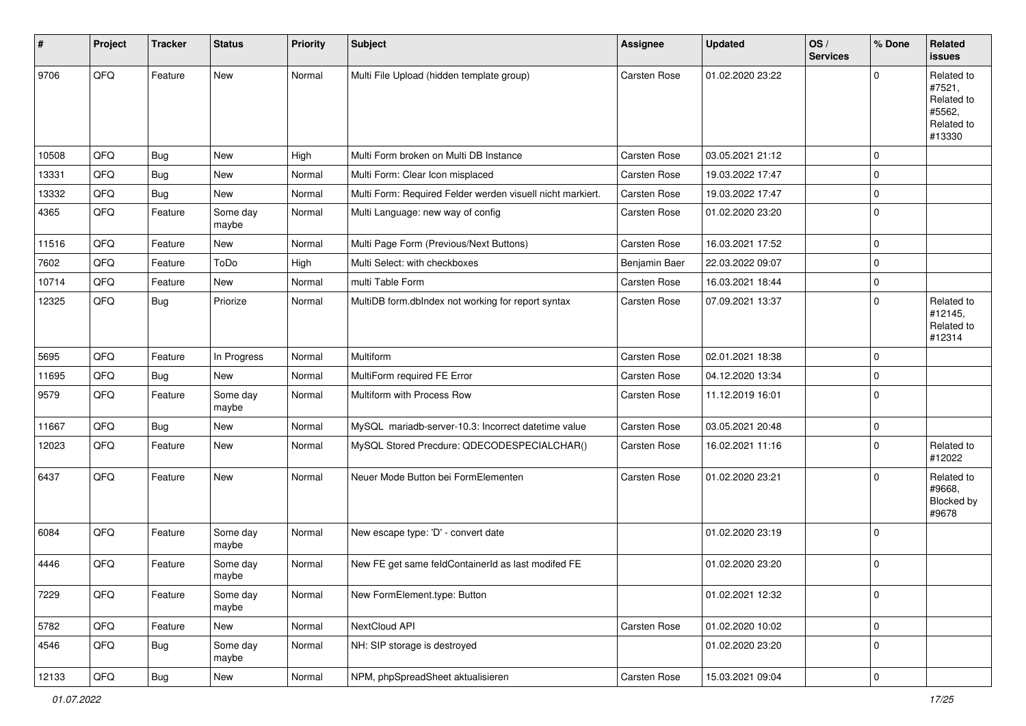| $\pmb{\#}$ | Project | <b>Tracker</b> | <b>Status</b>     | <b>Priority</b> | <b>Subject</b>                                             | <b>Assignee</b> | <b>Updated</b>   | OS/<br><b>Services</b> | % Done              | Related<br><b>issues</b>                                             |
|------------|---------|----------------|-------------------|-----------------|------------------------------------------------------------|-----------------|------------------|------------------------|---------------------|----------------------------------------------------------------------|
| 9706       | QFQ     | Feature        | New               | Normal          | Multi File Upload (hidden template group)                  | Carsten Rose    | 01.02.2020 23:22 |                        | $\mathbf 0$         | Related to<br>#7521,<br>Related to<br>#5562,<br>Related to<br>#13330 |
| 10508      | QFQ     | <b>Bug</b>     | New               | High            | Multi Form broken on Multi DB Instance                     | Carsten Rose    | 03.05.2021 21:12 |                        | $\mathbf 0$         |                                                                      |
| 13331      | QFQ     | Bug            | New               | Normal          | Multi Form: Clear Icon misplaced                           | Carsten Rose    | 19.03.2022 17:47 |                        | $\mathbf 0$         |                                                                      |
| 13332      | QFQ     | <b>Bug</b>     | New               | Normal          | Multi Form: Required Felder werden visuell nicht markiert. | Carsten Rose    | 19.03.2022 17:47 |                        | $\mathbf 0$         |                                                                      |
| 4365       | QFQ     | Feature        | Some day<br>maybe | Normal          | Multi Language: new way of config                          | Carsten Rose    | 01.02.2020 23:20 |                        | $\mathbf 0$         |                                                                      |
| 11516      | QFQ     | Feature        | New               | Normal          | Multi Page Form (Previous/Next Buttons)                    | Carsten Rose    | 16.03.2021 17:52 |                        | $\mathbf 0$         |                                                                      |
| 7602       | QFQ     | Feature        | ToDo              | High            | Multi Select: with checkboxes                              | Benjamin Baer   | 22.03.2022 09:07 |                        | $\mathbf 0$         |                                                                      |
| 10714      | QFQ     | Feature        | New               | Normal          | multi Table Form                                           | Carsten Rose    | 16.03.2021 18:44 |                        | $\mathbf 0$         |                                                                      |
| 12325      | QFQ     | <b>Bug</b>     | Priorize          | Normal          | MultiDB form.dbIndex not working for report syntax         | Carsten Rose    | 07.09.2021 13:37 |                        | $\mathbf 0$         | Related to<br>#12145,<br>Related to<br>#12314                        |
| 5695       | QFQ     | Feature        | In Progress       | Normal          | Multiform                                                  | Carsten Rose    | 02.01.2021 18:38 |                        | $\mathbf 0$         |                                                                      |
| 11695      | QFQ     | Bug            | New               | Normal          | MultiForm required FE Error                                | Carsten Rose    | 04.12.2020 13:34 |                        | $\mathbf 0$         |                                                                      |
| 9579       | QFQ     | Feature        | Some day<br>maybe | Normal          | Multiform with Process Row                                 | Carsten Rose    | 11.12.2019 16:01 |                        | $\mathbf 0$         |                                                                      |
| 11667      | QFQ     | Bug            | <b>New</b>        | Normal          | MySQL mariadb-server-10.3: Incorrect datetime value        | Carsten Rose    | 03.05.2021 20:48 |                        | $\mathbf 0$         |                                                                      |
| 12023      | QFQ     | Feature        | New               | Normal          | MySQL Stored Precdure: QDECODESPECIALCHAR()                | Carsten Rose    | 16.02.2021 11:16 |                        | $\mathbf 0$         | Related to<br>#12022                                                 |
| 6437       | QFQ     | Feature        | New               | Normal          | Neuer Mode Button bei FormElementen                        | Carsten Rose    | 01.02.2020 23:21 |                        | $\mathbf 0$         | Related to<br>#9668,<br>Blocked by<br>#9678                          |
| 6084       | QFQ     | Feature        | Some day<br>maybe | Normal          | New escape type: 'D' - convert date                        |                 | 01.02.2020 23:19 |                        | $\mathbf 0$         |                                                                      |
| 4446       | QFQ     | Feature        | Some day<br>maybe | Normal          | New FE get same feldContainerId as last modifed FE         |                 | 01.02.2020 23:20 |                        | $\mathbf 0$         |                                                                      |
| 7229       | QFQ     | Feature        | Some day<br>maybe | Normal          | New FormElement.type: Button                               |                 | 01.02.2021 12:32 |                        | $\mathbf 0$         |                                                                      |
| 5782       | QFQ     | Feature        | New               | Normal          | NextCloud API                                              | Carsten Rose    | 01.02.2020 10:02 |                        | $\mathsf{O}\xspace$ |                                                                      |
| 4546       | QFQ     | Bug            | Some day<br>maybe | Normal          | NH: SIP storage is destroyed                               |                 | 01.02.2020 23:20 |                        | $\mathbf 0$         |                                                                      |
| 12133      | QFQ     | Bug            | New               | Normal          | NPM, phpSpreadSheet aktualisieren                          | Carsten Rose    | 15.03.2021 09:04 |                        | $\overline{0}$      |                                                                      |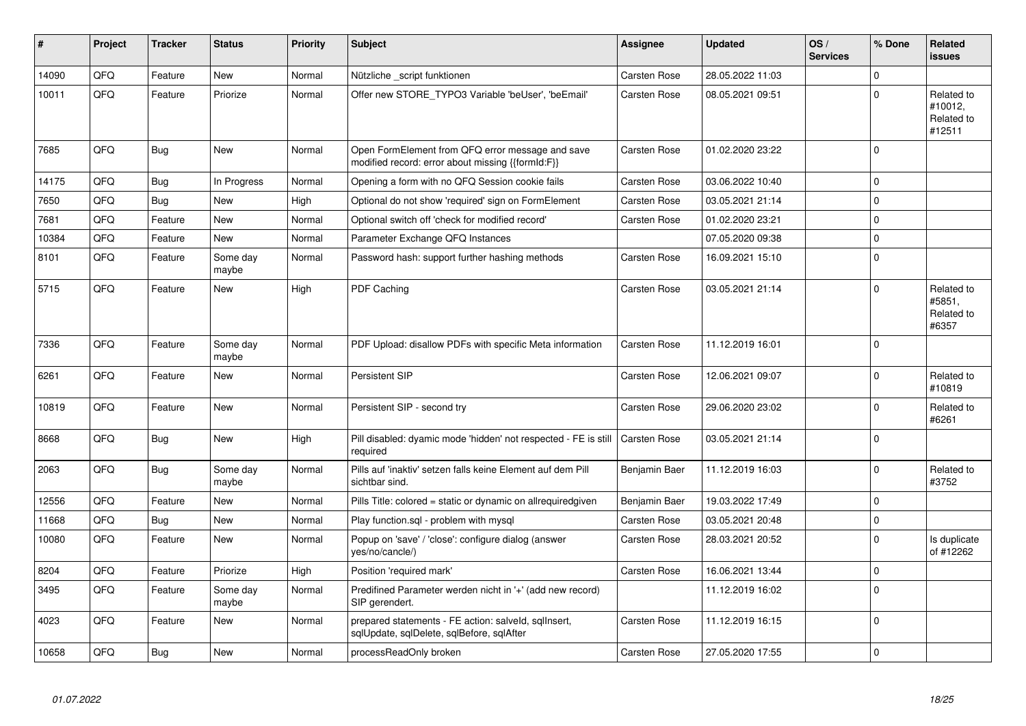| ∦     | Project | <b>Tracker</b> | <b>Status</b>     | <b>Priority</b> | <b>Subject</b>                                                                                        | <b>Assignee</b>     | <b>Updated</b>   | OS/<br><b>Services</b> | % Done         | <b>Related</b><br><b>issues</b>               |
|-------|---------|----------------|-------------------|-----------------|-------------------------------------------------------------------------------------------------------|---------------------|------------------|------------------------|----------------|-----------------------------------------------|
| 14090 | QFQ     | Feature        | <b>New</b>        | Normal          | Nützliche _script funktionen                                                                          | Carsten Rose        | 28.05.2022 11:03 |                        | $\Omega$       |                                               |
| 10011 | QFQ     | Feature        | Priorize          | Normal          | Offer new STORE_TYPO3 Variable 'beUser', 'beEmail'                                                    | Carsten Rose        | 08.05.2021 09:51 |                        | $\Omega$       | Related to<br>#10012,<br>Related to<br>#12511 |
| 7685  | QFQ     | Bug            | <b>New</b>        | Normal          | Open FormElement from QFQ error message and save<br>modified record: error about missing {{formId:F}} | Carsten Rose        | 01.02.2020 23:22 |                        | $\mathbf 0$    |                                               |
| 14175 | QFQ     | Bug            | In Progress       | Normal          | Opening a form with no QFQ Session cookie fails                                                       | Carsten Rose        | 03.06.2022 10:40 |                        | $\mathbf 0$    |                                               |
| 7650  | QFQ     | Bug            | <b>New</b>        | High            | Optional do not show 'required' sign on FormElement                                                   | Carsten Rose        | 03.05.2021 21:14 |                        | $\mathbf 0$    |                                               |
| 7681  | QFQ     | Feature        | <b>New</b>        | Normal          | Optional switch off 'check for modified record'                                                       | Carsten Rose        | 01.02.2020 23:21 |                        | $\Omega$       |                                               |
| 10384 | QFQ     | Feature        | <b>New</b>        | Normal          | Parameter Exchange QFQ Instances                                                                      |                     | 07.05.2020 09:38 |                        | $\mathbf 0$    |                                               |
| 8101  | QFQ     | Feature        | Some day<br>maybe | Normal          | Password hash: support further hashing methods                                                        | Carsten Rose        | 16.09.2021 15:10 |                        | $\Omega$       |                                               |
| 5715  | QFQ     | Feature        | <b>New</b>        | High            | PDF Caching                                                                                           | Carsten Rose        | 03.05.2021 21:14 |                        | $\mathbf 0$    | Related to<br>#5851.<br>Related to<br>#6357   |
| 7336  | QFQ     | Feature        | Some day<br>maybe | Normal          | PDF Upload: disallow PDFs with specific Meta information                                              | Carsten Rose        | 11.12.2019 16:01 |                        | $\mathbf 0$    |                                               |
| 6261  | QFQ     | Feature        | New               | Normal          | Persistent SIP                                                                                        | Carsten Rose        | 12.06.2021 09:07 |                        | $\Omega$       | Related to<br>#10819                          |
| 10819 | QFQ     | Feature        | <b>New</b>        | Normal          | Persistent SIP - second try                                                                           | Carsten Rose        | 29.06.2020 23:02 |                        | $\mathbf 0$    | Related to<br>#6261                           |
| 8668  | QFQ     | Bug            | <b>New</b>        | High            | Pill disabled: dyamic mode 'hidden' not respected - FE is still<br>required                           | <b>Carsten Rose</b> | 03.05.2021 21:14 |                        | $\mathbf 0$    |                                               |
| 2063  | QFQ     | <b>Bug</b>     | Some day<br>maybe | Normal          | Pills auf 'inaktiv' setzen falls keine Element auf dem Pill<br>sichtbar sind.                         | Benjamin Baer       | 11.12.2019 16:03 |                        | $\mathbf 0$    | Related to<br>#3752                           |
| 12556 | QFQ     | Feature        | <b>New</b>        | Normal          | Pills Title: colored = static or dynamic on allrequiredgiven                                          | Benjamin Baer       | 19.03.2022 17:49 |                        | $\pmb{0}$      |                                               |
| 11668 | QFQ     | <b>Bug</b>     | <b>New</b>        | Normal          | Play function.sql - problem with mysql                                                                | Carsten Rose        | 03.05.2021 20:48 |                        | $\overline{0}$ |                                               |
| 10080 | QFQ     | Feature        | <b>New</b>        | Normal          | Popup on 'save' / 'close': configure dialog (answer<br>yes/no/cancle/)                                | Carsten Rose        | 28.03.2021 20:52 |                        | $\Omega$       | Is duplicate<br>of #12262                     |
| 8204  | QFQ     | Feature        | Priorize          | High            | Position 'required mark'                                                                              | Carsten Rose        | 16.06.2021 13:44 |                        | $\mathbf 0$    |                                               |
| 3495  | QFQ     | Feature        | Some day<br>maybe | Normal          | Predifined Parameter werden nicht in '+' (add new record)<br>SIP gerendert.                           |                     | 11.12.2019 16:02 |                        | $\mathbf 0$    |                                               |
| 4023  | QFQ     | Feature        | <b>New</b>        | Normal          | prepared statements - FE action: salveld, sqllnsert,<br>sqlUpdate, sqlDelete, sqlBefore, sqlAfter     | Carsten Rose        | 11.12.2019 16:15 |                        | $\mathbf 0$    |                                               |
| 10658 | QFQ     | Bug            | <b>New</b>        | Normal          | processReadOnly broken                                                                                | <b>Carsten Rose</b> | 27.05.2020 17:55 |                        | $\overline{0}$ |                                               |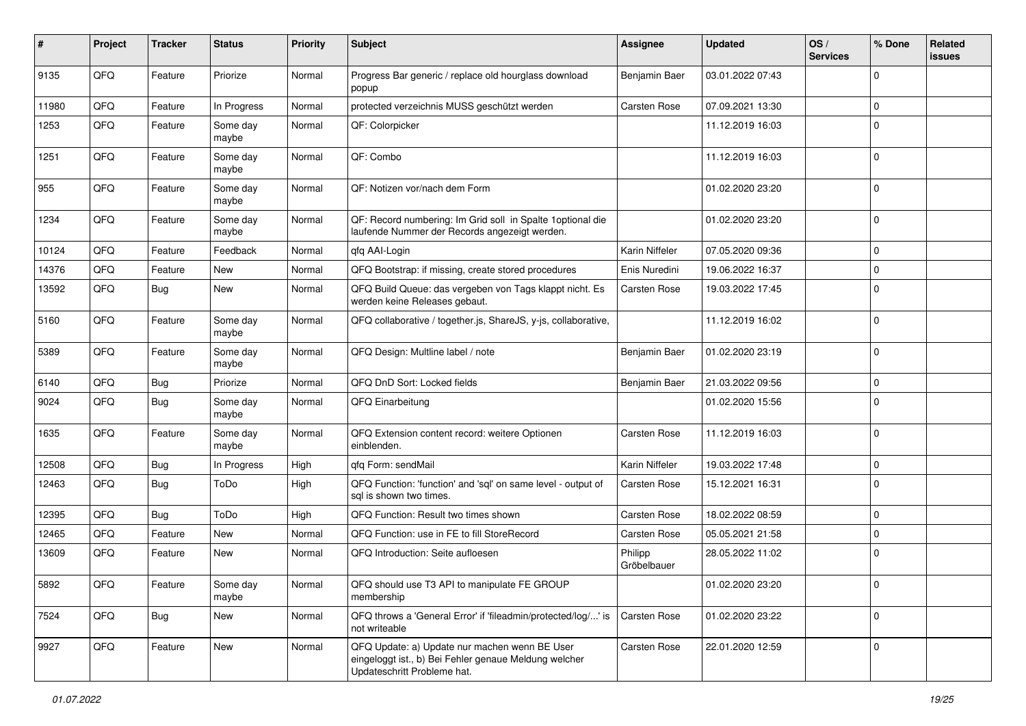| $\sharp$ | Project | <b>Tracker</b> | <b>Status</b>     | <b>Priority</b> | <b>Subject</b>                                                                                                                        | <b>Assignee</b>        | <b>Updated</b>   | OS/<br><b>Services</b> | % Done       | Related<br><b>issues</b> |
|----------|---------|----------------|-------------------|-----------------|---------------------------------------------------------------------------------------------------------------------------------------|------------------------|------------------|------------------------|--------------|--------------------------|
| 9135     | QFQ     | Feature        | Priorize          | Normal          | Progress Bar generic / replace old hourglass download<br>popup                                                                        | Benjamin Baer          | 03.01.2022 07:43 |                        | $\Omega$     |                          |
| 11980    | QFQ     | Feature        | In Progress       | Normal          | protected verzeichnis MUSS geschützt werden                                                                                           | Carsten Rose           | 07.09.2021 13:30 |                        | $\mathbf 0$  |                          |
| 1253     | QFQ     | Feature        | Some day<br>maybe | Normal          | QF: Colorpicker                                                                                                                       |                        | 11.12.2019 16:03 |                        | $\Omega$     |                          |
| 1251     | QFQ     | Feature        | Some day<br>maybe | Normal          | QF: Combo                                                                                                                             |                        | 11.12.2019 16:03 |                        | $\Omega$     |                          |
| 955      | QFQ     | Feature        | Some day<br>maybe | Normal          | QF: Notizen vor/nach dem Form                                                                                                         |                        | 01.02.2020 23:20 |                        | $\Omega$     |                          |
| 1234     | QFQ     | Feature        | Some day<br>maybe | Normal          | QF: Record numbering: Im Grid soll in Spalte 1 optional die<br>laufende Nummer der Records angezeigt werden.                          |                        | 01.02.2020 23:20 |                        | $\Omega$     |                          |
| 10124    | QFQ     | Feature        | Feedback          | Normal          | qfq AAI-Login                                                                                                                         | Karin Niffeler         | 07.05.2020 09:36 |                        | $\mathbf 0$  |                          |
| 14376    | QFQ     | Feature        | New               | Normal          | QFQ Bootstrap: if missing, create stored procedures                                                                                   | Enis Nuredini          | 19.06.2022 16:37 |                        | $\Omega$     |                          |
| 13592    | QFQ     | Bug            | New               | Normal          | QFQ Build Queue: das vergeben von Tags klappt nicht. Es<br>werden keine Releases gebaut.                                              | Carsten Rose           | 19.03.2022 17:45 |                        | $\Omega$     |                          |
| 5160     | QFQ     | Feature        | Some day<br>maybe | Normal          | QFQ collaborative / together.js, ShareJS, y-js, collaborative,                                                                        |                        | 11.12.2019 16:02 |                        | $\mathbf{0}$ |                          |
| 5389     | QFQ     | Feature        | Some day<br>maybe | Normal          | QFQ Design: Multline label / note                                                                                                     | Benjamin Baer          | 01.02.2020 23:19 |                        | $\mathbf 0$  |                          |
| 6140     | QFQ     | <b>Bug</b>     | Priorize          | Normal          | QFQ DnD Sort: Locked fields                                                                                                           | Benjamin Baer          | 21.03.2022 09:56 |                        | $\mathbf 0$  |                          |
| 9024     | QFQ     | Bug            | Some day<br>maybe | Normal          | QFQ Einarbeitung                                                                                                                      |                        | 01.02.2020 15:56 |                        | $\Omega$     |                          |
| 1635     | QFQ     | Feature        | Some day<br>maybe | Normal          | QFQ Extension content record: weitere Optionen<br>einblenden.                                                                         | Carsten Rose           | 11.12.2019 16:03 |                        | $\Omega$     |                          |
| 12508    | QFQ     | Bug            | In Progress       | High            | qfq Form: sendMail                                                                                                                    | Karin Niffeler         | 19.03.2022 17:48 |                        | $\mathbf 0$  |                          |
| 12463    | QFQ     | <b>Bug</b>     | ToDo              | High            | QFQ Function: 'function' and 'sql' on same level - output of<br>sql is shown two times.                                               | Carsten Rose           | 15.12.2021 16:31 |                        | $\Omega$     |                          |
| 12395    | QFQ     | <b>Bug</b>     | ToDo              | High            | QFQ Function: Result two times shown                                                                                                  | Carsten Rose           | 18.02.2022 08:59 |                        | $\mathbf 0$  |                          |
| 12465    | QFQ     | Feature        | <b>New</b>        | Normal          | QFQ Function: use in FE to fill StoreRecord                                                                                           | Carsten Rose           | 05.05.2021 21:58 |                        | $\mathbf 0$  |                          |
| 13609    | QFQ     | Feature        | New               | Normal          | QFQ Introduction: Seite aufloesen                                                                                                     | Philipp<br>Gröbelbauer | 28.05.2022 11:02 |                        | $\Omega$     |                          |
| 5892     | QFQ     | Feature        | Some day<br>maybe | Normal          | QFQ should use T3 API to manipulate FE GROUP<br>membership                                                                            |                        | 01.02.2020 23:20 |                        | l 0          |                          |
| 7524     | QFQ     | <b>Bug</b>     | New               | Normal          | QFQ throws a 'General Error' if 'fileadmin/protected/log/' is<br>not writeable                                                        | Carsten Rose           | 01.02.2020 23:22 |                        | $\mathbf 0$  |                          |
| 9927     | QFQ     | Feature        | New               | Normal          | QFQ Update: a) Update nur machen wenn BE User<br>eingeloggt ist., b) Bei Fehler genaue Meldung welcher<br>Updateschritt Probleme hat. | Carsten Rose           | 22.01.2020 12:59 |                        | $\mathbf 0$  |                          |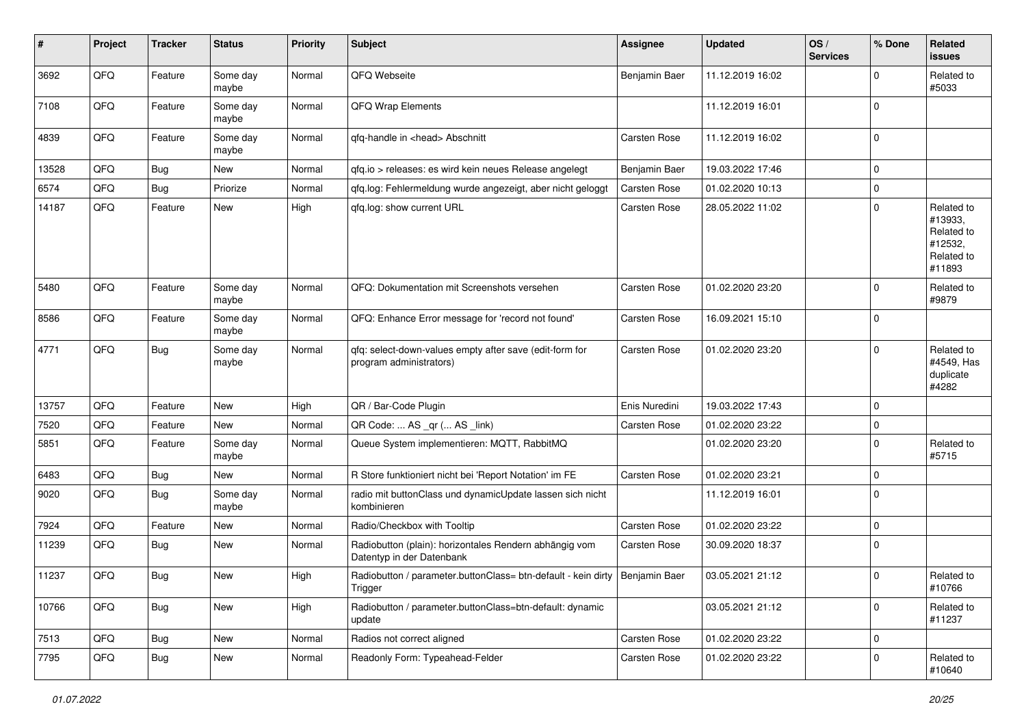| #     | Project | <b>Tracker</b> | <b>Status</b>     | <b>Priority</b> | Subject                                                                                  | <b>Assignee</b> | <b>Updated</b>   | OS/<br><b>Services</b> | % Done      | Related<br><b>issues</b>                                               |
|-------|---------|----------------|-------------------|-----------------|------------------------------------------------------------------------------------------|-----------------|------------------|------------------------|-------------|------------------------------------------------------------------------|
| 3692  | QFQ     | Feature        | Some day<br>maybe | Normal          | QFQ Webseite                                                                             | Benjamin Baer   | 11.12.2019 16:02 |                        | $\mathbf 0$ | Related to<br>#5033                                                    |
| 7108  | QFQ     | Feature        | Some day<br>maybe | Normal          | QFQ Wrap Elements                                                                        |                 | 11.12.2019 16:01 |                        | $\mathbf 0$ |                                                                        |
| 4839  | QFQ     | Feature        | Some day<br>maybe | Normal          | qfq-handle in <head> Abschnitt</head>                                                    | Carsten Rose    | 11.12.2019 16:02 |                        | $\mathbf 0$ |                                                                        |
| 13528 | QFQ     | Bug            | New               | Normal          | qfq.io > releases: es wird kein neues Release angelegt                                   | Benjamin Baer   | 19.03.2022 17:46 |                        | $\mathbf 0$ |                                                                        |
| 6574  | QFQ     | Bug            | Priorize          | Normal          | gfg.log: Fehlermeldung wurde angezeigt, aber nicht geloggt                               | Carsten Rose    | 01.02.2020 10:13 |                        | $\mathbf 0$ |                                                                        |
| 14187 | QFQ     | Feature        | New               | High            | qfq.log: show current URL                                                                | Carsten Rose    | 28.05.2022 11:02 |                        | $\mathbf 0$ | Related to<br>#13933,<br>Related to<br>#12532,<br>Related to<br>#11893 |
| 5480  | QFQ     | Feature        | Some day<br>maybe | Normal          | QFQ: Dokumentation mit Screenshots versehen                                              | Carsten Rose    | 01.02.2020 23:20 |                        | $\mathbf 0$ | Related to<br>#9879                                                    |
| 8586  | QFQ     | Feature        | Some day<br>maybe | Normal          | QFQ: Enhance Error message for 'record not found'                                        | Carsten Rose    | 16.09.2021 15:10 |                        | $\mathbf 0$ |                                                                        |
| 4771  | QFQ     | Bug            | Some day<br>maybe | Normal          | qfq: select-down-values empty after save (edit-form for<br>program administrators)       | Carsten Rose    | 01.02.2020 23:20 |                        | $\mathbf 0$ | Related to<br>#4549, Has<br>duplicate<br>#4282                         |
| 13757 | QFQ     | Feature        | <b>New</b>        | High            | QR / Bar-Code Plugin                                                                     | Enis Nuredini   | 19.03.2022 17:43 |                        | $\mathbf 0$ |                                                                        |
| 7520  | QFQ     | Feature        | New               | Normal          | QR Code:  AS _qr ( AS _link)                                                             | Carsten Rose    | 01.02.2020 23:22 |                        | 0           |                                                                        |
| 5851  | QFQ     | Feature        | Some day<br>maybe | Normal          | Queue System implementieren: MQTT, RabbitMQ                                              |                 | 01.02.2020 23:20 |                        | $\Omega$    | Related to<br>#5715                                                    |
| 6483  | QFQ     | Bug            | <b>New</b>        | Normal          | R Store funktioniert nicht bei 'Report Notation' im FE                                   | Carsten Rose    | 01.02.2020 23:21 |                        | 0           |                                                                        |
| 9020  | QFQ     | <b>Bug</b>     | Some day<br>maybe | Normal          | radio mit buttonClass und dynamicUpdate lassen sich nicht<br>kombinieren                 |                 | 11.12.2019 16:01 |                        | $\mathbf 0$ |                                                                        |
| 7924  | QFQ     | Feature        | New               | Normal          | Radio/Checkbox with Tooltip                                                              | Carsten Rose    | 01.02.2020 23:22 |                        | $\mathbf 0$ |                                                                        |
| 11239 | QFQ     | Bug            | New               | Normal          | Radiobutton (plain): horizontales Rendern abhängig vom<br>Datentyp in der Datenbank      | Carsten Rose    | 30.09.2020 18:37 |                        | $\mathbf 0$ |                                                                        |
| 11237 | QFQ     | Bug            | <b>New</b>        | High            | Radiobutton / parameter.buttonClass= btn-default - kein dirty   Benjamin Baer<br>Trigger |                 | 03.05.2021 21:12 |                        | $\mathbf 0$ | Related to<br>#10766                                                   |
| 10766 | QFQ     | Bug            | New               | High            | Radiobutton / parameter.buttonClass=btn-default: dynamic<br>update                       |                 | 03.05.2021 21:12 |                        | $\mathbf 0$ | Related to<br>#11237                                                   |
| 7513  | QFQ     | Bug            | New               | Normal          | Radios not correct aligned                                                               | Carsten Rose    | 01.02.2020 23:22 |                        | $\mathbf 0$ |                                                                        |
| 7795  | QFQ     | <b>Bug</b>     | New               | Normal          | Readonly Form: Typeahead-Felder                                                          | Carsten Rose    | 01.02.2020 23:22 |                        | $\pmb{0}$   | Related to<br>#10640                                                   |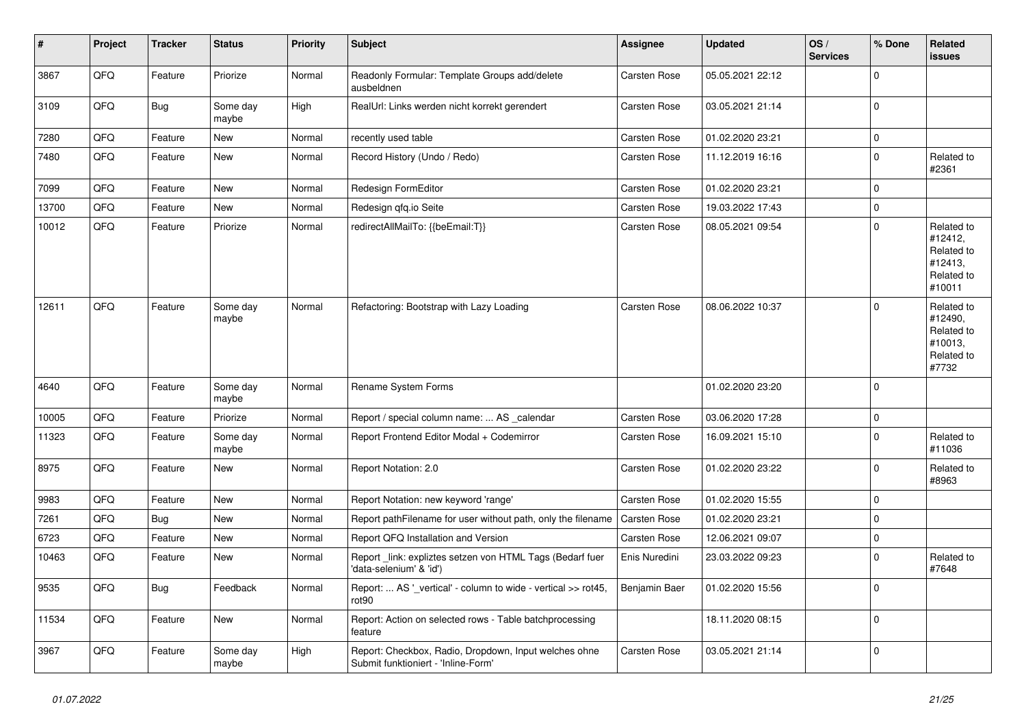| $\vert$ # | Project | <b>Tracker</b> | <b>Status</b>     | <b>Priority</b> | <b>Subject</b>                                                                               | <b>Assignee</b>     | <b>Updated</b>   | OS/<br><b>Services</b> | % Done      | <b>Related</b><br><b>issues</b>                                        |
|-----------|---------|----------------|-------------------|-----------------|----------------------------------------------------------------------------------------------|---------------------|------------------|------------------------|-------------|------------------------------------------------------------------------|
| 3867      | QFQ     | Feature        | Priorize          | Normal          | Readonly Formular: Template Groups add/delete<br>ausbeldnen                                  | Carsten Rose        | 05.05.2021 22:12 |                        | $\mathbf 0$ |                                                                        |
| 3109      | QFQ     | Bug            | Some day<br>maybe | High            | RealUrl: Links werden nicht korrekt gerendert                                                | Carsten Rose        | 03.05.2021 21:14 |                        | $\mathbf 0$ |                                                                        |
| 7280      | QFQ     | Feature        | New               | Normal          | recently used table                                                                          | Carsten Rose        | 01.02.2020 23:21 |                        | $\mathbf 0$ |                                                                        |
| 7480      | QFQ     | Feature        | <b>New</b>        | Normal          | Record History (Undo / Redo)                                                                 | Carsten Rose        | 11.12.2019 16:16 |                        | $\mathbf 0$ | Related to<br>#2361                                                    |
| 7099      | QFQ     | Feature        | <b>New</b>        | Normal          | Redesign FormEditor                                                                          | Carsten Rose        | 01.02.2020 23:21 |                        | $\mathbf 0$ |                                                                        |
| 13700     | QFQ     | Feature        | <b>New</b>        | Normal          | Redesign qfq.io Seite                                                                        | Carsten Rose        | 19.03.2022 17:43 |                        | $\pmb{0}$   |                                                                        |
| 10012     | QFQ     | Feature        | Priorize          | Normal          | redirectAllMailTo: {{beEmail:T}}                                                             | Carsten Rose        | 08.05.2021 09:54 |                        | $\mathbf 0$ | Related to<br>#12412,<br>Related to<br>#12413,<br>Related to<br>#10011 |
| 12611     | QFQ     | Feature        | Some day<br>maybe | Normal          | Refactoring: Bootstrap with Lazy Loading                                                     | Carsten Rose        | 08.06.2022 10:37 |                        | $\Omega$    | Related to<br>#12490,<br>Related to<br>#10013,<br>Related to<br>#7732  |
| 4640      | QFQ     | Feature        | Some day<br>maybe | Normal          | Rename System Forms                                                                          |                     | 01.02.2020 23:20 |                        | $\mathbf 0$ |                                                                        |
| 10005     | QFQ     | Feature        | Priorize          | Normal          | Report / special column name:  AS calendar                                                   | Carsten Rose        | 03.06.2020 17:28 |                        | $\mathbf 0$ |                                                                        |
| 11323     | QFQ     | Feature        | Some day<br>maybe | Normal          | Report Frontend Editor Modal + Codemirror                                                    | Carsten Rose        | 16.09.2021 15:10 |                        | $\mathbf 0$ | Related to<br>#11036                                                   |
| 8975      | QFQ     | Feature        | New               | Normal          | Report Notation: 2.0                                                                         | Carsten Rose        | 01.02.2020 23:22 |                        | $\mathbf 0$ | Related to<br>#8963                                                    |
| 9983      | QFQ     | Feature        | New               | Normal          | Report Notation: new keyword 'range'                                                         | Carsten Rose        | 01.02.2020 15:55 |                        | $\mathbf 0$ |                                                                        |
| 7261      | QFQ     | <b>Bug</b>     | <b>New</b>        | Normal          | Report pathFilename for user without path, only the filename                                 | <b>Carsten Rose</b> | 01.02.2020 23:21 |                        | $\mathbf 0$ |                                                                        |
| 6723      | QFQ     | Feature        | New               | Normal          | Report QFQ Installation and Version                                                          | Carsten Rose        | 12.06.2021 09:07 |                        | $\mathbf 0$ |                                                                        |
| 10463     | QFQ     | Feature        | <b>New</b>        | Normal          | Report link: expliztes setzen von HTML Tags (Bedarf fuer<br>'data-selenium' & 'id')          | Enis Nuredini       | 23.03.2022 09:23 |                        | $\mathbf 0$ | Related to<br>#7648                                                    |
| 9535      | QFQ     | Bug            | Feedback          | Normal          | Report:  AS '_vertical' - column to wide - vertical >> rot45,<br>rot90                       | Benjamin Baer       | 01.02.2020 15:56 |                        | $\mathbf 0$ |                                                                        |
| 11534     | QFQ     | Feature        | New               | Normal          | Report: Action on selected rows - Table batchprocessing<br>feature                           |                     | 18.11.2020 08:15 |                        | $\mathbf 0$ |                                                                        |
| 3967      | QFQ     | Feature        | Some day<br>maybe | High            | Report: Checkbox, Radio, Dropdown, Input welches ohne<br>Submit funktioniert - 'Inline-Form' | Carsten Rose        | 03.05.2021 21:14 |                        | $\mathbf 0$ |                                                                        |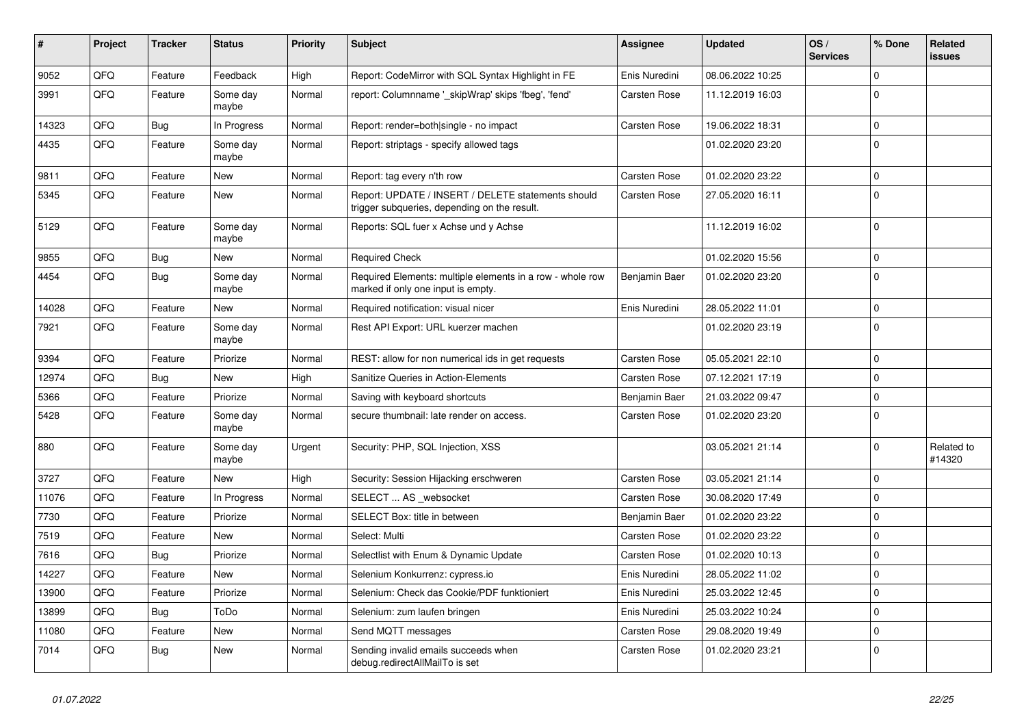| $\vert$ # | Project | <b>Tracker</b> | <b>Status</b>     | <b>Priority</b> | <b>Subject</b>                                                                                     | Assignee      | <b>Updated</b>   | OS/<br><b>Services</b> | % Done       | Related<br><b>issues</b> |
|-----------|---------|----------------|-------------------|-----------------|----------------------------------------------------------------------------------------------------|---------------|------------------|------------------------|--------------|--------------------------|
| 9052      | QFQ     | Feature        | Feedback          | High            | Report: CodeMirror with SQL Syntax Highlight in FE                                                 | Enis Nuredini | 08.06.2022 10:25 |                        | $\Omega$     |                          |
| 3991      | QFQ     | Feature        | Some day<br>maybe | Normal          | report: Columnname '_skipWrap' skips 'fbeg', 'fend'                                                | Carsten Rose  | 11.12.2019 16:03 |                        | $\Omega$     |                          |
| 14323     | QFQ     | <b>Bug</b>     | In Progress       | Normal          | Report: render=both single - no impact                                                             | Carsten Rose  | 19.06.2022 18:31 |                        | $\mathbf 0$  |                          |
| 4435      | QFQ     | Feature        | Some day<br>maybe | Normal          | Report: striptags - specify allowed tags                                                           |               | 01.02.2020 23:20 |                        | $\Omega$     |                          |
| 9811      | QFQ     | Feature        | New               | Normal          | Report: tag every n'th row                                                                         | Carsten Rose  | 01.02.2020 23:22 |                        | $\Omega$     |                          |
| 5345      | QFQ     | Feature        | New               | Normal          | Report: UPDATE / INSERT / DELETE statements should<br>trigger subqueries, depending on the result. | Carsten Rose  | 27.05.2020 16:11 |                        | $\Omega$     |                          |
| 5129      | QFQ     | Feature        | Some day<br>maybe | Normal          | Reports: SQL fuer x Achse und y Achse                                                              |               | 11.12.2019 16:02 |                        | $\Omega$     |                          |
| 9855      | QFQ     | <b>Bug</b>     | New               | Normal          | <b>Required Check</b>                                                                              |               | 01.02.2020 15:56 |                        | $\mathbf 0$  |                          |
| 4454      | QFQ     | <b>Bug</b>     | Some day<br>maybe | Normal          | Required Elements: multiple elements in a row - whole row<br>marked if only one input is empty.    | Benjamin Baer | 01.02.2020 23:20 |                        | $\Omega$     |                          |
| 14028     | QFQ     | Feature        | New               | Normal          | Required notification: visual nicer                                                                | Enis Nuredini | 28.05.2022 11:01 |                        | $\Omega$     |                          |
| 7921      | QFQ     | Feature        | Some day<br>maybe | Normal          | Rest API Export: URL kuerzer machen                                                                |               | 01.02.2020 23:19 |                        | $\Omega$     |                          |
| 9394      | QFQ     | Feature        | Priorize          | Normal          | REST: allow for non numerical ids in get requests                                                  | Carsten Rose  | 05.05.2021 22:10 |                        | $\Omega$     |                          |
| 12974     | QFQ     | Bug            | <b>New</b>        | High            | Sanitize Queries in Action-Elements                                                                | Carsten Rose  | 07.12.2021 17:19 |                        | $\Omega$     |                          |
| 5366      | QFQ     | Feature        | Priorize          | Normal          | Saving with keyboard shortcuts                                                                     | Benjamin Baer | 21.03.2022 09:47 |                        | $\Omega$     |                          |
| 5428      | QFQ     | Feature        | Some day<br>maybe | Normal          | secure thumbnail: late render on access.                                                           | Carsten Rose  | 01.02.2020 23:20 |                        | $\Omega$     |                          |
| 880       | QFQ     | Feature        | Some day<br>maybe | Urgent          | Security: PHP, SQL Injection, XSS                                                                  |               | 03.05.2021 21:14 |                        | $\mathbf{0}$ | Related to<br>#14320     |
| 3727      | QFQ     | Feature        | New               | High            | Security: Session Hijacking erschweren                                                             | Carsten Rose  | 03.05.2021 21:14 |                        | $\mathbf{0}$ |                          |
| 11076     | QFQ     | Feature        | In Progress       | Normal          | SELECT  AS _websocket                                                                              | Carsten Rose  | 30.08.2020 17:49 |                        | $\Omega$     |                          |
| 7730      | QFQ     | Feature        | Priorize          | Normal          | SELECT Box: title in between                                                                       | Benjamin Baer | 01.02.2020 23:22 |                        | $\Omega$     |                          |
| 7519      | QFQ     | Feature        | New               | Normal          | Select: Multi                                                                                      | Carsten Rose  | 01.02.2020 23:22 |                        | $\Omega$     |                          |
| 7616      | QFQ     | Bug            | Priorize          | Normal          | Selectlist with Enum & Dynamic Update                                                              | Carsten Rose  | 01.02.2020 10:13 |                        | $\Omega$     |                          |
| 14227     | QFQ     | Feature        | New               | Normal          | Selenium Konkurrenz: cypress.io                                                                    | Enis Nuredini | 28.05.2022 11:02 |                        | $\Omega$     |                          |
| 13900     | QFQ     | Feature        | Priorize          | Normal          | Selenium: Check das Cookie/PDF funktioniert                                                        | Enis Nuredini | 25.03.2022 12:45 |                        | $\Omega$     |                          |
| 13899     | QFQ     | Bug            | ToDo              | Normal          | Selenium: zum laufen bringen                                                                       | Enis Nuredini | 25.03.2022 10:24 |                        | $\Omega$     |                          |
| 11080     | QFQ     | Feature        | New               | Normal          | Send MQTT messages                                                                                 | Carsten Rose  | 29.08.2020 19:49 |                        | $\Omega$     |                          |
| 7014      | QFQ     | Bug            | New               | Normal          | Sending invalid emails succeeds when<br>debug.redirectAllMailTo is set                             | Carsten Rose  | 01.02.2020 23:21 |                        | $\Omega$     |                          |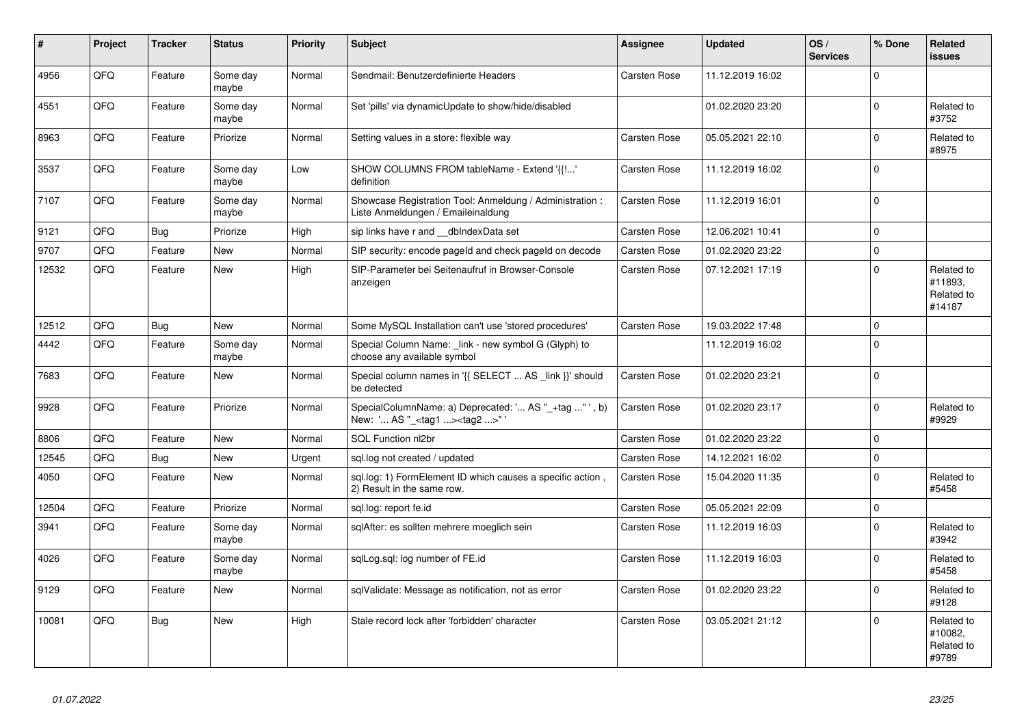| #     | Project    | <b>Tracker</b> | <b>Status</b>     | <b>Priority</b> | <b>Subject</b>                                                                                     | Assignee     | <b>Updated</b>   | OS/<br><b>Services</b> | % Done      | <b>Related</b><br><b>issues</b>               |
|-------|------------|----------------|-------------------|-----------------|----------------------------------------------------------------------------------------------------|--------------|------------------|------------------------|-------------|-----------------------------------------------|
| 4956  | QFQ        | Feature        | Some day<br>maybe | Normal          | Sendmail: Benutzerdefinierte Headers                                                               | Carsten Rose | 11.12.2019 16:02 |                        | $\Omega$    |                                               |
| 4551  | QFQ        | Feature        | Some day<br>maybe | Normal          | Set 'pills' via dynamicUpdate to show/hide/disabled                                                |              | 01.02.2020 23:20 |                        | $\Omega$    | Related to<br>#3752                           |
| 8963  | QFQ        | Feature        | Priorize          | Normal          | Setting values in a store: flexible way                                                            | Carsten Rose | 05.05.2021 22:10 |                        | $\Omega$    | Related to<br>#8975                           |
| 3537  | QFQ        | Feature        | Some day<br>maybe | Low             | SHOW COLUMNS FROM tableName - Extend '{{!'<br>definition                                           | Carsten Rose | 11.12.2019 16:02 |                        | $\mathbf 0$ |                                               |
| 7107  | QFQ        | Feature        | Some day<br>maybe | Normal          | Showcase Registration Tool: Anmeldung / Administration :<br>Liste Anmeldungen / Emaileinaldung     | Carsten Rose | 11.12.2019 16:01 |                        | $\mathbf 0$ |                                               |
| 9121  | QFQ        | <b>Bug</b>     | Priorize          | High            | sip links have r and __dbIndexData set                                                             | Carsten Rose | 12.06.2021 10:41 |                        | $\Omega$    |                                               |
| 9707  | QFQ        | Feature        | <b>New</b>        | Normal          | SIP security: encode pageld and check pageld on decode                                             | Carsten Rose | 01.02.2020 23:22 |                        | $\Omega$    |                                               |
| 12532 | QFQ        | Feature        | <b>New</b>        | High            | SIP-Parameter bei Seitenaufruf in Browser-Console<br>anzeigen                                      | Carsten Rose | 07.12.2021 17:19 |                        | $\mathbf 0$ | Related to<br>#11893.<br>Related to<br>#14187 |
| 12512 | QFQ        | <b>Bug</b>     | <b>New</b>        | Normal          | Some MySQL Installation can't use 'stored procedures'                                              | Carsten Rose | 19.03.2022 17:48 |                        | $\mathbf 0$ |                                               |
| 4442  | QFQ        | Feature        | Some day<br>maybe | Normal          | Special Column Name: link - new symbol G (Glyph) to<br>choose any available symbol                 |              | 11.12.2019 16:02 |                        | $\Omega$    |                                               |
| 7683  | QFQ        | Feature        | <b>New</b>        | Normal          | Special column names in '{{ SELECT  AS _link }}' should<br>be detected                             | Carsten Rose | 01.02.2020 23:21 |                        | $\Omega$    |                                               |
| 9928  | <b>OFO</b> | Feature        | Priorize          | Normal          | SpecialColumnName: a) Deprecated: ' AS "_+tag " ', b)<br>New: ' AS "_ <tag1><tag2>"'</tag2></tag1> | Carsten Rose | 01.02.2020 23:17 |                        | $\Omega$    | Related to<br>#9929                           |
| 8806  | QFQ        | Feature        | <b>New</b>        | Normal          | SQL Function nl2br                                                                                 | Carsten Rose | 01.02.2020 23:22 |                        | $\mathbf 0$ |                                               |
| 12545 | QFQ        | <b>Bug</b>     | <b>New</b>        | Urgent          | sql.log not created / updated                                                                      | Carsten Rose | 14.12.2021 16:02 |                        | $\mathbf 0$ |                                               |
| 4050  | QFQ        | Feature        | <b>New</b>        | Normal          | sql.log: 1) FormElement ID which causes a specific action,<br>2) Result in the same row.           | Carsten Rose | 15.04.2020 11:35 |                        | $\mathbf 0$ | Related to<br>#5458                           |
| 12504 | QFQ        | Feature        | Priorize          | Normal          | sql.log: report fe.id                                                                              | Carsten Rose | 05.05.2021 22:09 |                        | $\Omega$    |                                               |
| 3941  | QFQ        | Feature        | Some day<br>maybe | Normal          | sqlAfter: es sollten mehrere moeglich sein                                                         | Carsten Rose | 11.12.2019 16:03 |                        | $\mathbf 0$ | Related to<br>#3942                           |
| 4026  | QFQ        | Feature        | Some day<br>maybe | Normal          | sqlLog.sql: log number of FE.id                                                                    | Carsten Rose | 11.12.2019 16:03 |                        | $\Omega$    | Related to<br>#5458                           |
| 9129  | QFQ        | Feature        | New               | Normal          | sqlValidate: Message as notification, not as error                                                 | Carsten Rose | 01.02.2020 23:22 |                        | $\Omega$    | Related to<br>#9128                           |
| 10081 | QFQ        | Bug            | New               | High            | Stale record lock after 'forbidden' character                                                      | Carsten Rose | 03.05.2021 21:12 |                        | $\mathbf 0$ | Related to<br>#10082,<br>Related to<br>#9789  |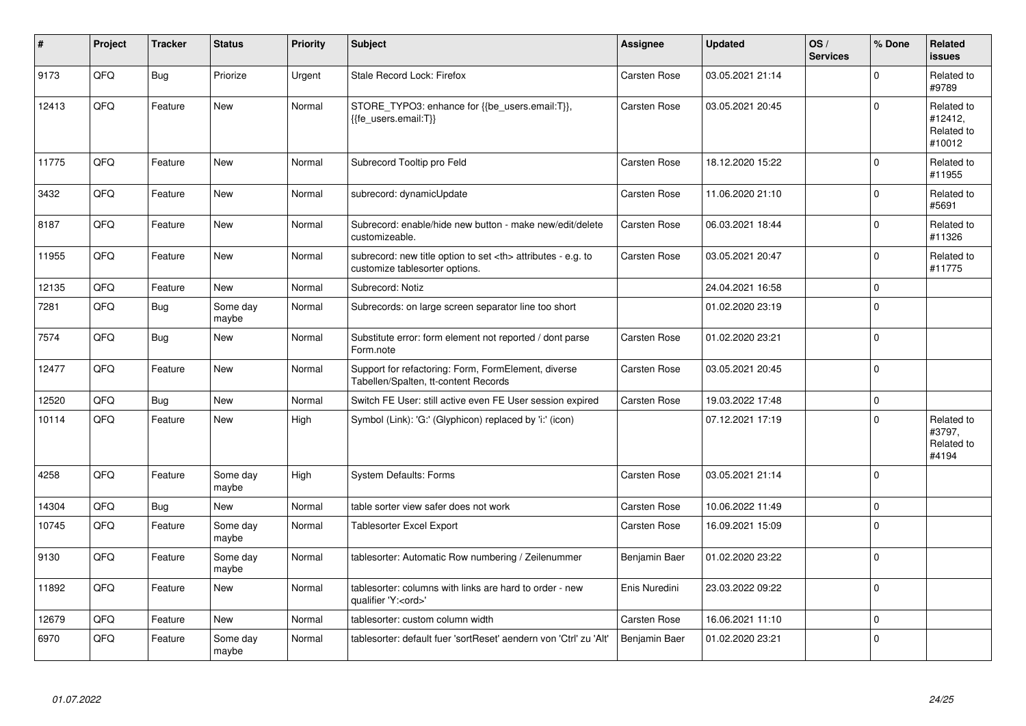| #     | Project | <b>Tracker</b> | <b>Status</b>     | <b>Priority</b> | <b>Subject</b>                                                                                       | Assignee                                               | <b>Updated</b>   | OS/<br><b>Services</b> | % Done      | <b>Related</b><br><b>issues</b>               |                      |
|-------|---------|----------------|-------------------|-----------------|------------------------------------------------------------------------------------------------------|--------------------------------------------------------|------------------|------------------------|-------------|-----------------------------------------------|----------------------|
| 9173  | QFQ     | <b>Bug</b>     | Priorize          | Urgent          | Stale Record Lock: Firefox                                                                           | Carsten Rose                                           | 03.05.2021 21:14 |                        | $\Omega$    | Related to<br>#9789                           |                      |
| 12413 | QFQ     | Feature        | <b>New</b>        | Normal          | STORE_TYPO3: enhance for {{be_users.email:T}},<br>{{fe users.email:T}}                               | Carsten Rose                                           | 03.05.2021 20:45 |                        | $\Omega$    | Related to<br>#12412,<br>Related to<br>#10012 |                      |
| 11775 | QFQ     | Feature        | <b>New</b>        | Normal          | Subrecord Tooltip pro Feld                                                                           | Carsten Rose                                           | 18.12.2020 15:22 |                        | $\mathbf 0$ | Related to<br>#11955                          |                      |
| 3432  | QFQ     | Feature        | New               | Normal          | subrecord: dynamicUpdate                                                                             | Carsten Rose                                           | 11.06.2020 21:10 |                        | $\mathbf 0$ | Related to<br>#5691                           |                      |
| 8187  | QFQ     | Feature        | New               | Normal          | Subrecord: enable/hide new button - make new/edit/delete<br>customizeable.                           | Carsten Rose                                           | 06.03.2021 18:44 |                        | $\Omega$    | Related to<br>#11326                          |                      |
| 11955 | QFQ     | Feature        | New               | Normal          | subrecord: new title option to set <th> attributes - e.g. to<br/>customize tablesorter options.</th> | attributes - e.g. to<br>customize tablesorter options. | Carsten Rose     | 03.05.2021 20:47       |             | $\mathbf 0$                                   | Related to<br>#11775 |
| 12135 | QFQ     | Feature        | <b>New</b>        | Normal          | Subrecord: Notiz                                                                                     |                                                        | 24.04.2021 16:58 |                        | $\mathbf 0$ |                                               |                      |
| 7281  | QFQ     | <b>Bug</b>     | Some day<br>maybe | Normal          | Subrecords: on large screen separator line too short                                                 |                                                        | 01.02.2020 23:19 |                        | $\Omega$    |                                               |                      |
| 7574  | QFQ     | <b>Bug</b>     | New               | Normal          | Substitute error: form element not reported / dont parse<br>Form.note                                | Carsten Rose                                           | 01.02.2020 23:21 |                        | $\Omega$    |                                               |                      |
| 12477 | QFQ     | Feature        | <b>New</b>        | Normal          | Support for refactoring: Form, FormElement, diverse<br>Tabellen/Spalten, tt-content Records          | Carsten Rose                                           | 03.05.2021 20:45 |                        | $\mathbf 0$ |                                               |                      |
| 12520 | QFQ     | Bug            | <b>New</b>        | Normal          | Switch FE User: still active even FE User session expired                                            | Carsten Rose                                           | 19.03.2022 17:48 |                        | $\mathbf 0$ |                                               |                      |
| 10114 | QFQ     | Feature        | New               | High            | Symbol (Link): 'G:' (Glyphicon) replaced by 'i:' (icon)                                              |                                                        | 07.12.2021 17:19 |                        | $\Omega$    | Related to<br>#3797,<br>Related to<br>#4194   |                      |
| 4258  | QFQ     | Feature        | Some day<br>maybe | High            | <b>System Defaults: Forms</b>                                                                        | Carsten Rose                                           | 03.05.2021 21:14 |                        | $\mathbf 0$ |                                               |                      |
| 14304 | QFQ     | <b>Bug</b>     | <b>New</b>        | Normal          | table sorter view safer does not work                                                                | Carsten Rose                                           | 10.06.2022 11:49 |                        | $\mathbf 0$ |                                               |                      |
| 10745 | QFQ     | Feature        | Some day<br>maybe | Normal          | Tablesorter Excel Export                                                                             | Carsten Rose                                           | 16.09.2021 15:09 |                        | $\mathbf 0$ |                                               |                      |
| 9130  | QFQ     | Feature        | Some day<br>maybe | Normal          | tablesorter: Automatic Row numbering / Zeilenummer                                                   | Benjamin Baer                                          | 01.02.2020 23:22 |                        | $\mathbf 0$ |                                               |                      |
| 11892 | QFQ     | Feature        | New               | Normal          | tablesorter: columns with links are hard to order - new<br>qualifier 'Y: <ord>'</ord>                | Enis Nuredini                                          | 23.03.2022 09:22 |                        | $\mathbf 0$ |                                               |                      |
| 12679 | QFQ     | Feature        | <b>New</b>        | Normal          | tablesorter: custom column width                                                                     | Carsten Rose                                           | 16.06.2021 11:10 |                        | $\mathbf 0$ |                                               |                      |
| 6970  | QFQ     | Feature        | Some day<br>maybe | Normal          | tablesorter: default fuer 'sortReset' aendern von 'Ctrl' zu 'Alt'                                    | Benjamin Baer                                          | 01.02.2020 23:21 |                        | $\mathbf 0$ |                                               |                      |